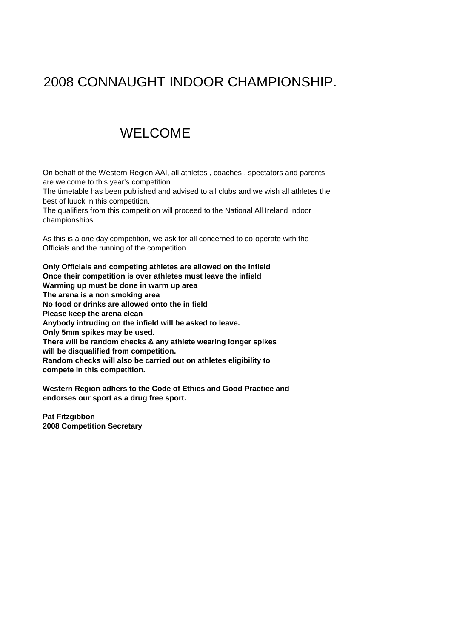# 2008 CONNAUGHT INDOOR CHAMPIONSHIP.

## WELCOME

On behalf of the Western Region AAI, all athletes , coaches , spectators and parents are welcome to this year's competition.

The timetable has been published and advised to all clubs and we wish all athletes the best of luuck in this competition.

The qualifiers from this competition will proceed to the National All Ireland Indoor championships

As this is a one day competition, we ask for all concerned to co-operate with the Officials and the running of the competition.

**Only Officials and competing athletes are allowed on the infield Once their competition is over athletes must leave the infield Warming up must be done in warm up area The arena is a non smoking area No food or drinks are allowed onto the in field Please keep the arena clean Anybody intruding on the infield will be asked to leave. Only 5mm spikes may be used. There will be random checks & any athlete wearing longer spikes will be disqualified from competition. Random checks will also be carried out on athletes eligibility to compete in this competition.**

**Western Region adhers to the Code of Ethics and Good Practice and endorses our sport as a drug free sport.**

**Pat Fitzgibbon 2008 Competition Secretary**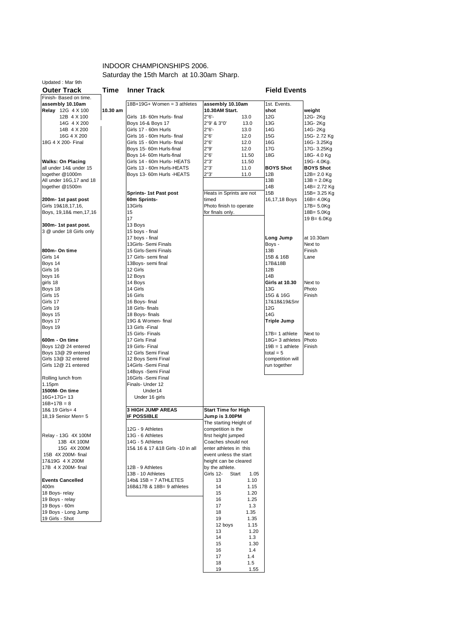#### INDOOR CHAMPIONSHIPS 2006. Saturday the 15th March at 10.30am Sharp.

| <b>Outer Track</b>                    | Time     | <b>Inner Track</b>                 |                                    |       | <b>Field Events</b>   |                  |
|---------------------------------------|----------|------------------------------------|------------------------------------|-------|-----------------------|------------------|
| Finish- Based on time.                |          | 18B+19G+ Women = 3 athletes        |                                    |       | 1st. Events.          |                  |
| assembly 10.10am<br>Relay 12G 4 X 100 | 10.30 am |                                    | assembly 10.10am<br>10.30AM Start. |       | shot                  | weight           |
| 12B 4 X 100                           |          | Girls 18-60m Hurls-final           | $2"6' -$                           | 13.0  | 12G                   | 12G-2Kg          |
|                                       |          |                                    |                                    |       |                       |                  |
| 14G 4 X 200                           |          | Boys 16-& Boys 17                  | 2"9' & 3"0'                        | 13.0  | 13G                   | 13G-2Kg          |
| 14B 4 X 200                           |          | Girls 17 - 60m Hurls               | $2"6'$ -                           | 13.0  | 14G                   | 14G-2Kg          |
| 16G 4 X 200                           |          | Girls 16 - 60m Hurls- final        | 2"6'                               | 12.0  | 15G                   | 15G-2.72 Kg      |
| 18G 4 X 200- Final                    |          | Girls 15 - 60m Hurls- final        | 2"6"                               | 12.0  | 16G                   | 16G-3.25Kg       |
|                                       |          | Boys 15- 60m Hurls-final           | 2"9'                               | 12.0  | 17G                   | 17G-3.25Kg       |
|                                       |          | Boys 14- 60m Hurls-final           | 2"6"                               | 11.50 | 18G                   | 18G-4.0 Kg       |
| <b>Walks: On Placing</b>              |          | Girls 14 - 60m Hurls- HEATS        | 2"3"                               | 11.50 |                       | 19G- 4.0Kg.      |
| all under 14& under 15                |          | Girls 13 - 60m Hurls-HEATS         | 2"3'                               | 11.0  | <b>BOYS Shot</b>      | <b>BOYS Shot</b> |
| together @1000m                       |          | Boys 13- 60m Hurls - HEATS         | 2"3'                               | 11.0  | 12B                   | $12B = 2.0$ Kg   |
| All under 16G, 17 and 18              |          |                                    |                                    |       | 13B                   | $13B = 2.0Kg$    |
| together @1500m                       |          |                                    |                                    |       | 14B                   | 14B= 2.72 Kg     |
|                                       |          | <b>Sprints-1st Past post</b>       | Heats in Sprints are not           |       | 15B                   | 15B= 3.25 Kg     |
| 200m-1st past post                    |          | 60m Sprints-                       | timed                              |       | 16,17,18 Boys         | 16B= 4.0Kg       |
| Girls 19&18,17,16,                    |          | 13Girls                            | Photo finish to operate            |       |                       | $17B = 5.0Kg$    |
| Boys, 19,18& men, 17,16               |          | 15                                 | for finals only.                   |       |                       | $18B = 5.0Kg$    |
|                                       |          | 17                                 |                                    |       |                       | 19 B= $6.0$ Kg   |
| 300m-1st past post.                   |          | 13 Boys                            |                                    |       |                       |                  |
| 3 @ under 18 Girls only               |          | 15 boys - final                    |                                    |       |                       |                  |
|                                       |          |                                    |                                    |       |                       | at 10.30am       |
|                                       |          | 17 boys - final                    |                                    |       | Long Jump             |                  |
|                                       |          | 13Girls- Semi Finals               |                                    |       | Boys -                | Next to          |
| 800m- On time                         |          | 15 Girls-Semi Finals               |                                    |       | 13B                   | Finish           |
| Girls 14                              |          | 17 Girls- semi final               |                                    |       | 15B & 16B             | Lane             |
| Boys 14                               |          | 13Boys- semi final                 |                                    |       | 17B&18B               |                  |
| Girls 16                              |          | 12 Girls                           |                                    |       | 12B                   |                  |
| boys 16                               |          | 12 Boys                            |                                    |       | 14B                   |                  |
| girls 18                              |          | 14 Boys                            |                                    |       | <b>Girls at 10.30</b> | Next to          |
| Boys 18                               |          | 14 Girls                           |                                    |       | 13G                   | Photo            |
| Girls 15                              |          | 16 Girls                           |                                    |       | 15G & 16G             | Finish           |
| Girls 17                              |          | 16 Boys- final                     |                                    |       | 17&18&19&Snr          |                  |
| Girls 19                              |          | 18 Girls- finals                   |                                    |       | 12G                   |                  |
|                                       |          |                                    |                                    |       | 14G                   |                  |
| Boys 15                               |          | 18 Boys- finals                    |                                    |       |                       |                  |
| Boys 17                               |          | 19G & Women- final                 |                                    |       | Triple Jump           |                  |
| Boys 19                               |          | 13 Girls - Final                   |                                    |       |                       |                  |
|                                       |          | 15 Girls- Finals                   |                                    |       | $17B = 1$ athlete     | Next to          |
| 600m - On time                        |          | 17 Girls Final                     |                                    |       | 18G= 3 athletes       | Photo            |
| Boys 12@ 24 entered                   |          | 19 Girls- Final                    |                                    |       | $19B = 1$ athlete     | Finish           |
| Boys 13@ 29 entered                   |          | 12 Girls Semi Final                |                                    |       | total = $5$           |                  |
| Girls 13@ 32 entered                  |          | 12 Boys Semi Final                 |                                    |       | competition will      |                  |
| Girls 12@ 21 entered                  |          | 14Girls - Semi Final               |                                    |       | run together          |                  |
|                                       |          | 14Boys -Semi Final                 |                                    |       |                       |                  |
| Rolling lunch from                    |          | 16Girls - Semi Final               |                                    |       |                       |                  |
| 1.15pm                                |          | Finals- Under 12                   |                                    |       |                       |                  |
| 1500M- On time                        |          | Under14                            |                                    |       |                       |                  |
|                                       |          |                                    |                                    |       |                       |                  |
| $16G+17G=13$                          |          | Under 16 girls                     |                                    |       |                       |                  |
| $16B+17B=8$                           |          |                                    |                                    |       |                       |                  |
| 18& 19 Girls= 4                       |          | <b>3 HIGH JUMP AREAS</b>           | <b>Start Time for High</b>         |       |                       |                  |
| 18,19 Senior Men= 5                   |          | <b>IF POSSIBLE</b>                 | Jump is 3.00PM                     |       |                       |                  |
|                                       |          |                                    | The starting Height of             |       |                       |                  |
|                                       |          | 12G - 9 Athletes                   | competition is the                 |       |                       |                  |
| Relay - 13G 4X 100M                   |          | 13G - 6 Athletes                   | first height jumped                |       |                       |                  |
| 13B 4X 100M                           |          | 14G - 5 Athletes                   | Coaches should not                 |       |                       |                  |
| 15G 4X 200M                           |          | 15& 16 & 17 & 18 Girls - 10 in all | enter athletes in this             |       |                       |                  |
| 15B 4X 200M- final                    |          |                                    | event unless the start             |       |                       |                  |
| 17&19G 4 X 200M                       |          |                                    | height can be cleared              |       |                       |                  |
|                                       |          |                                    |                                    |       |                       |                  |
| 17B 4 X 200M- final                   |          | 12B - 9 Athletes                   | by the athlete.                    |       |                       |                  |
|                                       |          | 13B - 10 Athletes                  | Girls 12-<br>Start                 | 1.05  |                       |                  |
| <b>Events Cancelled</b>               |          | $14b8$ $15B = 7$ ATHLETES          | 13                                 | 1.10  |                       |                  |
| 400m                                  |          | 16B&17B & 18B= 9 athletes          | 14                                 | 1.15  |                       |                  |
| 18 Boys-relay                         |          |                                    | 15                                 | 1.20  |                       |                  |
| 19 Boys - relay                       |          |                                    | 16                                 | 1.25  |                       |                  |
| 19 Boys - 60m                         |          |                                    | 17                                 | 1.3   |                       |                  |
| 19 Boys - Long Jump                   |          |                                    | 18                                 | 1.35  |                       |                  |
|                                       |          |                                    |                                    |       |                       |                  |
| 19 Girls - Shot                       |          |                                    | 19                                 | 1.35  |                       |                  |
|                                       |          |                                    | 12 boys                            | 1.15  |                       |                  |
|                                       |          |                                    | 13                                 | 1.20  |                       |                  |
|                                       |          |                                    | 14                                 | 1.3   |                       |                  |
|                                       |          |                                    | 15                                 | 1.30  |                       |                  |
|                                       |          |                                    | 16                                 | 1.4   |                       |                  |
|                                       |          |                                    | 17                                 | 1.4   |                       |                  |

 18 1.5 19 1.55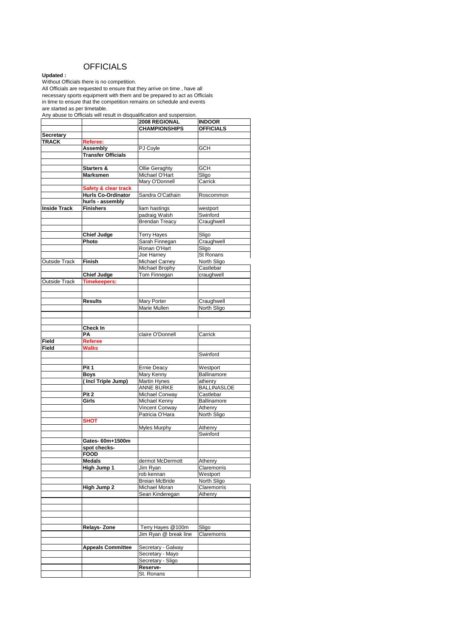### **OFFICIALS**

**Updated :** 

Without Officials there is no competition.

All Officials are requested to ensure that they arrive on time , have all necessary sports equipment with them and be prepared to act as Officials in time to ensure that the competition remains on schedule and events are started as per timetable.

Any abuse to Officials will result in disqualification and suspension.

|                      |                                   | 2008 REGIONAL                     | <b>INDOOR</b>           |
|----------------------|-----------------------------------|-----------------------------------|-------------------------|
|                      |                                   | <b>CHAMPIONSHIPS</b>              | <b>OFFICIALS</b>        |
| Secretary            |                                   |                                   |                         |
| <b>TRACK</b>         | Referee:                          |                                   |                         |
|                      | <b>Assembly</b>                   | PJ Coyle                          | <b>GCH</b>              |
|                      | <b>Transfer Officials</b>         |                                   |                         |
|                      |                                   |                                   |                         |
|                      | Starters &                        | Ollie Geraghty                    | <b>GCH</b>              |
|                      | Marksmen                          | Michael O'Hart                    | Sligo                   |
|                      |                                   | Mary O'Donnell                    | Carrick                 |
|                      | Safety & clear track              |                                   |                         |
|                      | Hurls Co-Ordinator                | Sandra O'Cathain                  | Roscommon               |
|                      | hurls - assembly                  |                                   |                         |
| <b>Inside Track</b>  | <b>Finishers</b>                  | liam hastings                     | westport                |
|                      |                                   | padraig Walsh                     | Swinford                |
|                      |                                   | Brendan Treacy                    | Craughwell              |
|                      |                                   |                                   |                         |
|                      | <b>Chief Judge</b>                | <b>Terry Hayes</b>                | Sligo                   |
|                      | Photo                             | Sarah Finnegan                    | Craughwell              |
|                      |                                   | Ronan O'Hart                      | Sligo                   |
|                      |                                   | Joe Harney                        | St Ronans               |
| <b>Outside Track</b> | Finish                            | Michael Carney                    | North Sligo             |
|                      |                                   | Michael Brophy                    | Castlebar               |
|                      | <b>Chief Judge</b>                | Tom Finnegan                      | craughwell              |
| <b>Outside Track</b> | <b>Timekeepers:</b>               |                                   |                         |
|                      |                                   |                                   |                         |
|                      |                                   |                                   |                         |
|                      | <b>Results</b>                    | <b>Mary Porter</b>                | Craughwell              |
|                      |                                   | <b>Marie Mullen</b>               | North Sligo             |
|                      |                                   |                                   |                         |
|                      |                                   |                                   |                         |
|                      | Check In                          |                                   |                         |
|                      | PΑ                                | claire O'Donnell                  | Carrick                 |
| Field                | Referee                           |                                   |                         |
| Field                | Walks                             |                                   |                         |
|                      |                                   |                                   | Swinford                |
|                      |                                   |                                   |                         |
|                      | Pit 1                             | Ernie Deacy                       | Westport<br>Ballinamore |
|                      | <b>Boys</b><br>(Incl Triple Jump) | Mary Kenny<br><b>Martin Hynes</b> | athenry                 |
|                      |                                   | <b>ANNE BURKE</b>                 | <b>BALLINASLOE</b>      |
|                      | Pit <sub>2</sub>                  | Michael Conway                    | Castlebar               |
|                      | Girls                             | Michael Kenny                     | Ballinamore             |
|                      |                                   |                                   |                         |
|                      |                                   | Vincent Conway<br>Patricia O'Hara | Athenry<br>North Sligo  |
|                      | <b>SHOT</b>                       |                                   |                         |
|                      |                                   | <b>Myles Murphy</b>               | Athenry                 |
|                      |                                   |                                   | Swinford                |
|                      | Gates-60m+1500m                   |                                   |                         |
|                      | spot checks-                      |                                   |                         |
|                      | <b>FOOD</b>                       |                                   |                         |
|                      | <b>Medals</b>                     | dermot McDermott                  | Athenry                 |
|                      | High Jump 1                       | Jim Ryan                          | Claremorris             |
|                      |                                   | rob kennan                        | Westport                |
|                      |                                   | <b>Breian McBride</b>             | North Sligo             |
|                      | High Jump 2                       | Michael Moran                     | Claremorris             |
|                      |                                   | Sean Kinderegan                   | Athenry                 |
|                      |                                   |                                   |                         |
|                      |                                   |                                   |                         |
|                      |                                   |                                   |                         |
|                      |                                   |                                   |                         |
|                      | Relays- Zone                      | Terry Hayes @100m                 | Sligo                   |
|                      |                                   | Jim Ryan @ break line             | Claremorris             |
|                      |                                   |                                   |                         |
|                      | <b>Appeals Committee</b>          | Secretary - Galway                |                         |
|                      |                                   | Secretary - Mayo                  |                         |
|                      |                                   | Secretary - Sligo                 |                         |
|                      |                                   | Reserve-                          |                         |
|                      |                                   | St. Ronans                        |                         |
|                      |                                   |                                   |                         |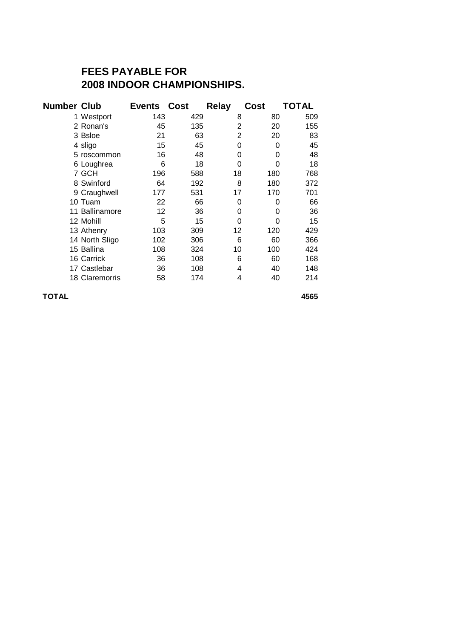## **FEES PAYABLE FOR 2008 INDOOR CHAMPIONSHIPS.**

| <b>Number Club</b> |                | <b>Events Cost</b> |     | Relay | Cost | TOTAL |
|--------------------|----------------|--------------------|-----|-------|------|-------|
|                    | 1 Westport     | 143                | 429 | 8     | 80   | 509   |
|                    | 2 Ronan's      | 45                 | 135 | 2     | 20   | 155   |
|                    | 3 Bsloe        | 21                 | 63  | 2     | 20   | 83    |
|                    | 4 sligo        | 15                 | 45  | 0     | 0    | 45    |
|                    | 5 roscommon    | 16                 | 48  | 0     | 0    | 48    |
|                    | 6 Loughrea     | 6                  | 18  | 0     | 0    | 18    |
|                    | 7 GCH          | 196                | 588 | 18    | 180  | 768   |
|                    | 8 Swinford     | 64                 | 192 | 8     | 180  | 372   |
|                    | 9 Craughwell   | 177                | 531 | 17    | 170  | 701   |
|                    | 10 Tuam        | 22                 | 66  | 0     | 0    | 66    |
|                    | 11 Ballinamore | 12                 | 36  | 0     | 0    | 36    |
|                    | 12 Mohill      | 5                  | 15  | 0     | 0    | 15    |
|                    | 13 Athenry     | 103                | 309 | 12    | 120  | 429   |
|                    | 14 North Sligo | 102                | 306 | 6     | 60   | 366   |
|                    | 15 Ballina     | 108                | 324 | 10    | 100  | 424   |
|                    | 16 Carrick     | 36                 | 108 | 6     | 60   | 168   |
|                    | 17 Castlebar   | 36                 | 108 | 4     | 40   | 148   |
|                    | 18 Claremorris | 58                 | 174 | 4     | 40   | 214   |

**TOTAL 4565**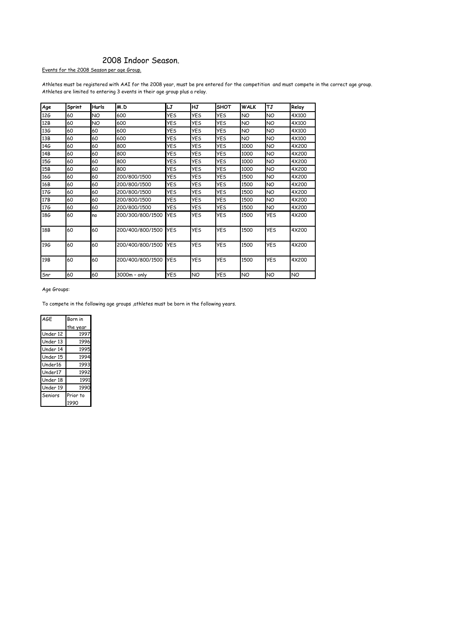#### 2008 Indoor Season.

Events for the 2008 Season per age Group.

Athletes must be registered with AAI for the 2008 year, must be pre entered for the competition and must compete in the correct age group. Athletes are limited to entering 3 events in their age group plus a relay.

| Age        | Sprint | <b>Hurls</b> | M.D              | LJ         | HJ         | <b>SHOT</b> | <b>WALK</b> | TJ         | Relay |
|------------|--------|--------------|------------------|------------|------------|-------------|-------------|------------|-------|
| 126        | 60     | NO.          | 600              | <b>YES</b> | <b>YES</b> | <b>YES</b>  | NO          | NO         | 4X100 |
| 12B        | 60     | NO           | 600              | YES        | <b>YES</b> | YES         | NO          | NO         | 4X100 |
| 136        | 60     | 60           | 600              | <b>YES</b> | <b>YES</b> | YES         | NO          | NO         | 4X100 |
| 13B        | 60     | 60           | 600              | YES        | <b>YES</b> | <b>YES</b>  | NO.         | NO.        | 4X100 |
| 146        | 60     | 60           | 800              | <b>YES</b> | <b>YES</b> | YES         | 1000        | NO         | 4X200 |
| 14B        | 60     | 60           | 800              | <b>YES</b> | <b>YES</b> | YES         | 1000        | NO         | 4X200 |
| 15G        | 60     | 60           | 800              | YES        | <b>YES</b> | <b>YES</b>  | 1000        | NO         | 4X200 |
| 15B        | 60     | 60           | 800              | <b>YES</b> | <b>YES</b> | <b>YES</b>  | 1000        | NO.        | 4X200 |
| <b>16G</b> | 60     | 60           | 200/800/1500     | <b>YES</b> | <b>YES</b> | <b>YES</b>  | 1500        | NO         | 4X200 |
| 16B        | 60     | 60           | 200/800/1500     | YES        | <b>YES</b> | YES         | 1500        | NO         | 4X200 |
| 176        | 60     | 60           | 200/800/1500     | <b>YES</b> | <b>YES</b> | YES         | 1500        | NO         | 4X200 |
| 17B        | 60     | 60           | 200/800/1500     | <b>YES</b> | YES        | <b>YES</b>  | 1500        | NO         | 4X200 |
| <b>17G</b> | 60     | 60           | 200/800/1500     | <b>YES</b> | <b>YES</b> | YES         | 1500        | NΟ         | 4X200 |
| 18G        | 60     | no           | 200/300/800/1500 | YES        | <b>YES</b> | YES         | 1500        | YES        | 4X200 |
| 18B        | 60     | 60           | 200/400/800/1500 | <b>YES</b> | <b>YES</b> | <b>YES</b>  | 1500        | <b>YES</b> | 4X200 |
| 19G        | 60     | 60           | 200/400/800/1500 | <b>YES</b> | <b>YES</b> | <b>YES</b>  | 1500        | <b>YES</b> | 4X200 |
| 19B        | 60     | 60           | 200/400/800/1500 | YES        | <b>YES</b> | YES         | 1500        | YES        | 4X200 |
| Snr        | 60     | 60           | 3000m - only     | <b>YES</b> | NO         | <b>YES</b>  | NO          | NO         | NO    |

Age Groups:

To compete in the following age groups ,athletes must be born in the following years.

| AGE      | Born in  |
|----------|----------|
|          | the year |
| Under 12 | 1997     |
| Under 13 | 1996     |
| Under 14 | 1995     |
| Under 15 | 1994     |
| Under16  | 1993     |
| Under17  | 1992     |
| Under 18 | 1991     |
| Under 19 | 1990     |
| Seniors  | Prior to |
|          | 1990     |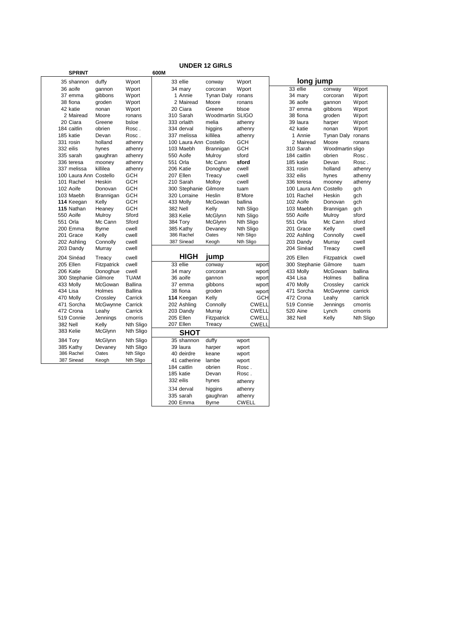|                        |              |                |      |                        | <b>UNDER 12 GIRLS</b> |               |                        |                   |           |
|------------------------|--------------|----------------|------|------------------------|-----------------------|---------------|------------------------|-------------------|-----------|
| <b>SPRINT</b>          |              |                | 600M |                        |                       |               |                        |                   |           |
| 35 shannon             | duffy        | Wport          |      | 33 ellie               | conway                | Wport         | long jump              |                   |           |
| 36 aoife               | gannon       | Wport          |      | 34 mary                | corcoran              | Wport         | 33 ellie               | conway            | Wport     |
| 37 emma                | gibbons      | Wport          |      | 1 Annie                | Tynan Daly            | ronans        | 34 mary                | corcoran          | Wport     |
| 38 fiona               | groden       | Wport          |      | 2 Mairead              | Moore                 | ronans        | 36 aoife               | qannon            | Wport     |
| 42 katie               | nonan        | Wport          |      | 20 Ciara               | Greene                | blsoe         | 37 emma                | gibbons           | Wport     |
| 2 Mairead              | Moore        | ronans         |      | 310 Sarah              | Woodmartin SLIGO      |               | 38 fiona               | groden            | Wport     |
| 20 Ciara               | Greene       | bsloe          |      | 333 orlaith            | melia                 | athenry       | 39 laura               | harper            | Wport     |
| 184 caitlin            | obrien       | Rosc.          |      | 334 derval             | higgins               | athenry       | 42 katie               | nonan             | Wport     |
| 185 katie              | Devan        | Rosc.          |      | 337 melissa            | killilea              | athenry       | 1 Annie                | Tynan Daly ronans |           |
| 331 rosin              | holland      | athenry        |      | 100 Laura Ann Costello |                       | GCH           | 2 Mairead              | Moore             | ronans    |
| 332 eilis              | hynes        | athenry        |      | 103 Maebh              | Brannigan             | <b>GCH</b>    | 310 Sarah              | Woodmartin sligo  |           |
| 335 sarah              | gaughran     | athenry        |      | 550 Aoife              | Mulroy                | sford         | 184 caitlin            | obrien            | Rosc.     |
| 336 teresa             | mooney       | athenry        |      | 551 Orla               | Mc Cann               | sford         | 185 katie              | Devan             | Rosc.     |
| 337 melissa            | killilea     | athenry        |      | 206 Katie              | Donoghue              | cwell         | 331 rosin              | holland           | athenry   |
| 100 Laura Ann Costello |              | <b>GCH</b>     |      | 207 Ellen              | Treacy                | cwell         | 332 eilis              | hynes             | athenry   |
| 101 Rachel             | Heskin       | <b>GCH</b>     |      | 210 Sarah              | Molloy                | cwell         | 336 teresa             | mooney            | athenry   |
| 102 Aoife              | Donovan      | <b>GCH</b>     |      | 300 Stephanie Gilmore  |                       | tuam          | 100 Laura Ann Costello |                   | gch       |
| 103 Maebh              | Brannigan    | GCH            |      | 320 Lorraine           | Heslin                | <b>B'More</b> | 101 Rachel             | Heskin            | gch       |
| 114 Keegan             | Kelly        | GCH            |      | 433 Molly              | McGowan               | ballina       | 102 Aoife              | Donovan           | gch       |
| 115 Nathan             | Heaney       | <b>GCH</b>     |      | 382 Nell               | Kelly                 | Nth Sligo     | 103 Maebh              | Brannigan         | gch       |
| 550 Aoife              | Mulroy       | Sford          |      | 383 Kelie              | McGlynn               | Nth Sligo     | 550 Aoife              | Mulroy            | sford     |
| 551 Orla               | Mc Cann      | Sford          |      | 384 Tory               | McGlynn               | Nth Sligo     | 551 Orla               | Mc Cann           | sford     |
| 200 Emma               | <b>Byrne</b> | cwell          |      | 385 Kathy              | Devaney               | Nth Sligo     | 201 Grace              | Kelly             | cwell     |
| 201 Grace              | Kelly        | cwell          |      | 386 Rachel             | Oates                 | Nth Sligo     | 202 Ashling            | Connolly          | cwell     |
| 202 Ashling            | Connolly     | cwell          |      | 387 Sinead             | Keogh                 | Nth Sligo     | 203 Dandy              | Murray            | cwell     |
| 203 Dandy              | Murray       | cwell          |      |                        |                       |               | 204 Sinéad             | Treacy            | cwell     |
| 204 Sinéad             | Treacy       | cwell          |      | HIGH                   | jump                  |               | 205 Ellen              | Fitzpatrick       | cwell     |
| 205 Ellen              | Fitzpatrick  | cwell          |      | 33 ellie               | conway                | wport         | 300 Stephanie Gilmore  |                   | tuam      |
| 206 Katie              | Donoghue     | cwell          |      | 34 mary                | corcoran              | wport         | 433 Molly              | McGowan           | ballina   |
| 300 Stephanie Gilmore  |              | <b>TUAM</b>    |      | 36 aoife               | qannon                | wport         | 434 Lisa               | Holmes            | ballina   |
| 433 Molly              | McGowan      | <b>Ballina</b> |      | 37 emma                | qibbons               | wport         | 470 Molly              | Crossley          | carrick   |
| 434 Lisa               | Holmes       | <b>Ballina</b> |      | 38 fiona               | groden                | wport         | 471 Sorcha             | McGwynne carrick  |           |
| 470 Molly              | Crossley     | Carrick        |      | 114 Keegan             | Kelly                 | <b>GCH</b>    | 472 Crona              | Leahy             | carrick   |
| 471 Sorcha             | McGwynne     | Carrick        |      | 202 Ashling            | Connolly              | <b>CWELL</b>  | 519 Connie             | Jennings          | cmorris   |
| 472 Crona              | Leahy        | Carrick        |      | 203 Dandy              | Murray                | <b>CWELL</b>  | 520 Aine               | Lynch             | cmorris   |
| 519 Connie             | Jennings     | cmorris        |      | 205 Ellen              | Fitzpatrick           | <b>CWELL</b>  | 382 Nell               | Kelly             | Nth Sligo |
| 382 Nell               | Kelly        | Nth Sligo      |      | 207 Ellen              | Treacy                | <b>CWELL</b>  |                        |                   |           |
| 383 Kelie              | McGlynn      | Nth Sligo      |      | <b>SHOT</b>            |                       |               |                        |                   |           |
| 384 Tory               | McGlynn      | Nth Sligo      |      | 35 shannon             | duffy                 | wport         |                        |                   |           |
| 385 Kathy              | Devaney      | Nth Sligo      |      | 39 laura               | harper                | wport         |                        |                   |           |
| 386 Rachel             | Oates        | Nth Sligo      |      | 40 deirdre             | keane                 | wport         |                        |                   |           |
| 387 Sinead             | Keogh        | Nth Sligo      |      | 41 catherine           | lambe                 | wport         |                        |                   |           |
|                        |              |                |      | 184 caitlin            | obrien                | Rosc.         |                        |                   |           |
|                        |              |                |      | 185 katie              | Devan                 | Rosc.         |                        |                   |           |
|                        |              |                |      | 332 eilis              | hynes                 | athenry       |                        |                   |           |
|                        |              |                |      | 334 derval             | higgins               | athenry       |                        |                   |           |
|                        |              |                |      |                        |                       |               |                        |                   |           |
|                        |              |                |      | 335 sarah              | gaughran              | athenry       |                        |                   |           |

200 Emma Byrne CWELL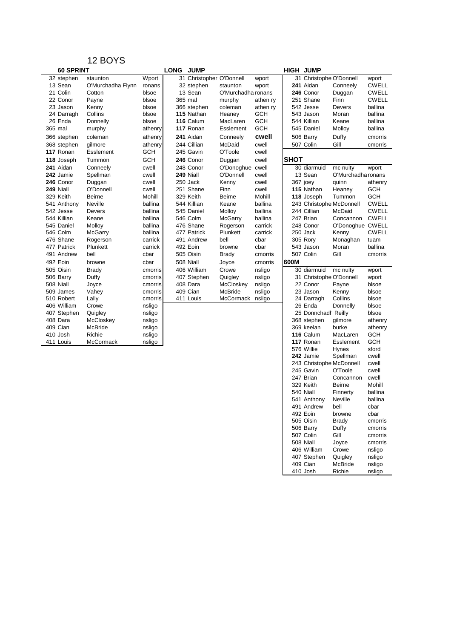| 60 SPRINT   |                   |            | <b>LONG</b> | <b>JUMP</b>              |                    |            |             | <b>HIGH JUMP</b>         |                    |              |
|-------------|-------------------|------------|-------------|--------------------------|--------------------|------------|-------------|--------------------------|--------------------|--------------|
| 32 stephen  | staunton          | Wport      |             | 31 Christopher O'Donnell |                    | wport      |             | 31 Christophe O'Donnell  |                    | wport        |
| 13 Sean     | O'Murchadha Flynn | ronans     |             | 32 stephen               | staunton           | wport      |             | 241 Aidan                | Conneely           | <b>CWELL</b> |
| 21 Colin    | Cotton            | blsoe      |             | 13 Sean                  | O'Murchadha ronans |            |             | 246 Conor                | Duggan             | <b>CWELL</b> |
| 22 Conor    | Payne             | blsoe      |             | 365 mal                  | murphy             | athen ry   |             | 251 Shane                | Finn               | <b>CWELL</b> |
| 23 Jason    | Kenny             | blsoe      |             | 366 stephen              | coleman            | athen ry   |             | 542 Jesse                | Devers             | ballina      |
| 24 Darragh  | Collins           | blsoe      |             | 115 Nathan               | Heaney             | <b>GCH</b> |             | 543 Jason                | Moran              | ballina      |
| 26 Enda     | Donnelly          | blsoe      |             | 116 Calum                | MacLaren           | <b>GCH</b> |             | 544 Killian              | Keane              | ballina      |
| 365 mal     | murphy            | athenry    |             | 117 Ronan                | Esslement          | <b>GCH</b> |             | 545 Daniel               | Molloy             | ballina      |
| 366 stephen | coleman           | athenry    |             | 241 Aidan                | Conneely           | cwell      |             | 506 Barry                | Duffy              | cmorris      |
| 368 stephen | gilmore           | athenry    |             | 244 Cillian              | McDaid             | cwell      |             | 507 Colin                | Gill               | cmorris      |
| 117 Ronan   | Esslement         | GCH        |             | 245 Gavin                | O'Toole            | cwell      |             |                          |                    |              |
| 118 Joseph  | Tummon            | <b>GCH</b> |             | 246 Conor                | Duggan             | cwell      | <b>SHOT</b> |                          |                    |              |
| 241 Aidan   | Conneely          | cwell      |             | 248 Conor                | O'Donoghue cwell   |            |             | 30 diarmuid              | mc nulty           | wport        |
| 242 Jamie   | Spellman          | cwell      |             | 249 Niall                | O'Donnell          | cwell      |             | 13 Sean                  | O'Murchadha ronans |              |
| 246 Conor   | Duggan            | cwell      |             | 250 Jack                 | Kenny              | cwell      |             | 367 joey                 | quinn              | athenry      |
| 249 Niall   | O'Donnell         | cwell      |             | 251 Shane                | Finn               | cwell      |             | 115 Nathan               | Heaney             | GCH          |
| 329 Keith   | Beirne            | Mohill     |             | 329 Keith                | Beirne             | Mohill     |             | 118 Joseph               | Tummon             | GCH          |
| 541 Anthony | Neville           | ballina    |             | 544 Killian              | Keane              | ballina    |             | 243 Christophe McDonnell |                    | <b>CWELL</b> |
| 542 Jesse   | Devers            | ballina    |             | 545 Daniel               | Molloy             | ballina    |             | 244 Cillian              | McDaid             | <b>CWELL</b> |
| 544 Killian | Keane             | ballina    |             | 546 Colm                 | McGarry            | ballina    |             | 247 Brian                | Concannon          | <b>CWELL</b> |
| 545 Daniel  | Molloy            | ballina    |             | 476 Shane                | Rogerson           | carrick    |             | 248 Conor                | O'Donoghue CWELL   |              |
| 546 Colm    | McGarry           | ballina    |             | 477 Patrick              | Plunkett           | carrick    |             | 250 Jack                 | Kenny              | <b>CWELL</b> |
| 476 Shane   | Rogerson          | carrick    |             | 491 Andrew               | bell               | cbar       |             | 305 Rory                 | Monaghan           | tuam         |
| 477 Patrick | Plunkett          | carrick    |             | 492 Eoin                 | browne             | cbar       |             | 543 Jason                | Moran              | ballina      |
| 491 Andrew  | bell              | cbar       |             | 505 Oisin                | Brady              | cmorris    |             | 507 Colin                | Gill               | cmorris      |
| 492 Eoin    | browne            | cbar       |             | 508 Niall                | Joyce              | cmorris    | 600M        |                          |                    |              |
| 505 Oisin   | <b>Brady</b>      | cmorris    |             | 406 William              | Crowe              | nsligo     |             | 30 diarmuid              | mc nulty           | wport        |
| 506 Barry   | Duffy             | cmorris    |             | 407 Stephen              | Quigley            | nsligo     |             | 31 Christophe O'Donnell  |                    | wport        |
| 508 Niall   | Joyce             | cmorris    |             | 408 Dara                 | McCloskey          | nsligo     |             | 22 Conor                 | Payne              | blsoe        |
| 509 James   | Vahey             | cmorris    |             | 409 Cian                 | McBride            | nsligo     |             | 23 Jason                 | Kenny              | blsoe        |
| 510 Robert  | Lally             | cmorris    |             | 411 Louis                | McCormack          | nsligo     |             | 24 Darragh               | Collins            | blsoe        |
| 406 William | Crowe             | nsligo     |             |                          |                    |            |             | 26 Enda                  | Donnelly           | blsoe        |
| 407 Stephen | Quigley           | nsligo     |             |                          |                    |            |             | 25 Donnchadr Reilly      |                    | blsoe        |
| 408 Dara    | McCloskey         | nsligo     |             |                          |                    |            |             | 368 stephen              | gilmore            | athenry      |
| 409 Cian    | McBride           | nsligo     |             |                          |                    |            |             | 369 keelan               | burke              | athenry      |
| 410 Josh    | Richie            | nsligo     |             |                          |                    |            |             | 116 Calum                | MacLaren           | <b>GCH</b>   |
| 411 Louis   | McCormack         | nsligo     |             |                          |                    |            |             | 117 Ronan                | Esslement          | <b>GCH</b>   |
|             |                   |            |             |                          |                    |            |             | 576 Willie               | Hynes              | sford        |
|             |                   |            |             |                          |                    |            |             | 242 Jamie                | Spellman           | cwell        |
|             |                   |            |             |                          |                    |            |             | 243 Christophe McDonnell |                    | cwell        |
|             |                   |            |             |                          |                    |            |             | 245 Gavin                | O'Toole            | cwell        |
|             |                   |            |             |                          |                    |            |             | 247 Brian                | Concannon          | cwell        |
|             |                   |            |             |                          |                    |            |             | 329 Keith                | <b>Beirne</b>      | Mohill       |
|             |                   |            |             |                          |                    |            |             | 540 Niall                | Finnerty           | ballina      |

540 Niall Finnerty ballina<br>541 Anthony Neville ballina 541 Anthony Neville ballin<br>491 Andrew bell cbar 491 Andrew bell cbar<br>492 Eoin browne cbar<br>505 Oisin Brady cmor 492 Eoin browne cbar<br>505 Oisin Brady cmorris 505 Oisin Brady Contris<br>506 Barry Duffy cmorris 506 Barry Duffy cmorris<br>507 Colin Gill cmorris

508 Niall Joyce cmorris<br>406 William Crowe nsligo<br>407 Stephen Quigley nsligo

407 Stephen Quigley nsligo<br>409 Cian McBride nsligo 409 Cian McBride nsligo<br>410 Josh Richie nsligo

406 William Crowe<br>407 Stephen Quigley

 $507$  Colin

410 Josh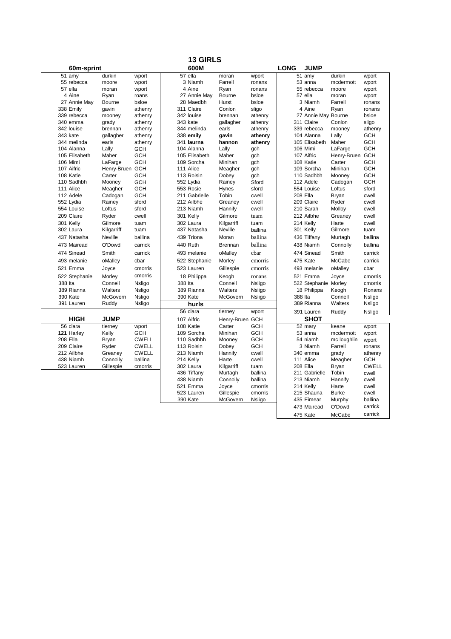|                         |                   |                     |         | <b>13 GIRLS</b>        |                           |                    |             |                                   |                        |                       |
|-------------------------|-------------------|---------------------|---------|------------------------|---------------------------|--------------------|-------------|-----------------------------------|------------------------|-----------------------|
| 60m-sprint              |                   |                     |         | 600M                   |                           |                    | <b>LONG</b> | <b>JUMP</b>                       |                        |                       |
| 51 amy                  | durkin            | wport               |         | 57 ella                | moran                     | wport              |             | 51 amy                            | durkin                 | wport                 |
| 55 rebecca              | moore             | wport               |         | 3 Niamh                | Farrell                   | ronans             |             | 53 anna                           | mcdermott              | wport                 |
| 57 ella                 | moran             | wport               |         | 4 Aine                 | Ryan                      | ronans             |             | 55 rebecca                        | moore                  | wport                 |
| 4 Aine                  | Ryan              | roans               |         | 27 Annie May           | Bourne                    | bsloe              |             | 57 ella                           | moran                  | wport                 |
| 27 Annie May            | Bourne            | bsloe               |         | 28 Maedbh              | Hurst                     | bsloe              |             | 3 Niamh                           | Farrell                | ronans                |
| 338 Emily               | qavin             | athenry             |         | 311 Claire             | Conlon                    | sligo              |             | 4 Aine                            | Ryan                   | ronans                |
| 339 rebecca<br>340 emma | mooney<br>grady   | athenry<br>athenry  |         | 342 louise<br>343 kate | brennan<br>qallagher      | athenry<br>athenry |             | 27 Annie May Bourne<br>311 Claire | Conlon                 | bsloe<br>sligo        |
| 342 louise              | brennan           | athenry             |         | 344 melinda            | earls                     | athenry            |             | 339 rebecca                       | mooney                 | athenry               |
| 343 kate                | qallagher         | athenry             |         | 338 emily              | gavin                     | athenry            |             | 104 Alanna                        | Lally                  | <b>GCH</b>            |
| 344 melinda             | earls             | athenry             |         | 341 laurna             | hannon                    | athenry            |             | 105 Elisabeth                     | Maher                  | <b>GCH</b>            |
| 104 Alanna              | Lally             | <b>GCH</b>          |         | 104 Alanna             | Lally                     | qch                |             | 106 Mimi                          | LaFarge                | <b>GCH</b>            |
| 105 Elisabeth           | Maher             | <b>GCH</b>          |         | 105 Elisabeth          | Maher                     | gch                |             | 107 Aifric                        | Henry-Bruen GCH        |                       |
| 106 Mimi                | LaFarge           | <b>GCH</b>          |         | 109 Sorcha             | Minihan                   | gch                |             | 108 Katie                         | Carter                 | <b>GCH</b>            |
| 107 Aifric              | Henry-Bruen GCH   |                     |         | 111 Alice              | Meagher                   | qch                |             | 109 Sorcha                        | Minihan                | <b>GCH</b>            |
| 108 Katie               | Carter            | <b>GCH</b>          |         | 113 Roisin             | Dobey                     | gch                |             | 110 Sadhbh                        | Mooney                 | <b>GCH</b>            |
| 110 Sadhbh              | Mooney            | <b>GCH</b>          |         | 552 Lydia              | Rainey                    | Sford              |             | 112 Adele                         | Cadogan                | <b>GCH</b>            |
| 111 Alice               | Meagher           | <b>GCH</b>          |         | 553 Rosie              | Hynes                     | sford              |             | 554 Louise                        | Loftus                 | sford                 |
| 112 Adele               | Cadogan           | <b>GCH</b>          |         | 211 Gabrielle          | Tobin                     | cwell              |             | 208 Ella                          | Bryan                  | cwell                 |
| 552 Lvdia               | Rainev            | sford               |         | 212 Ailbhe             | Greanev                   | cwell              |             | 209 Claire                        | Ryder                  | cwell                 |
| 554 Louise              | Loftus            | sford               |         | 213 Niamh              | Hannify                   | cwell              |             | 210 Sarah                         | Molloy                 | cwell                 |
| 209 Claire              | Ryder             | cwell               |         | 301 Kelly              | Gilmore                   | tuam               |             | 212 Ailbhe                        | Greaney                | cwell                 |
| 301 Kelly               | Gilmore           | tuam                |         | 302 Laura              | Kilgarriff                | tuam               |             | 214 Kelly                         | Harte                  | cwell                 |
| 302 Laura               | Kilgarriff        | tuam                |         | 437 Natasha            | Neville                   | ballina            |             | 301 Kelly                         | Gilmore                | tuam                  |
| 437 Natasha             | <b>Neville</b>    | ballina             |         | 439 Triona             | Moran                     | ballina            |             |                                   |                        | ballina               |
| 473 Mairead             | O'Dowd            | carrick             |         | 440 Ruth               | <b>Brennan</b>            | ballina            |             | 436 Tiffany<br>438 Niamh          | Murtagh<br>Connolly    | ballina               |
| 474 Sinead              | Smith             | carrick             |         | 493 melanie            | oMalley                   | char               |             | 474 Sinead                        | Smith                  | carrick               |
| 493 melanie             | oMalley           | cbar                |         | 522 Stephanie          | Morley                    | cmorris            |             | 475 Kate                          | McCabe                 | carrick               |
| 521 Emma                | Joyce             | cmorris             |         | 523 Lauren             | Gillespie                 | cmorris            |             | 493 melanie                       | oMalley                | cbar                  |
|                         |                   | cmorris             |         |                        |                           |                    |             |                                   |                        | cmorris               |
| 522 Stephanie           | Morley            |                     |         | 18 Philippa            | Keogh                     | ronans             |             | 521 Emma                          | Joyce                  |                       |
| 388 Ita                 | Connell           | Nsligo              | 388 Ita |                        | Connell                   | Nsligo             |             | 522 Stephanie                     | Morley                 | cmorris<br>Ronans     |
| 389 Rianna              | Walters           | Nsligo              |         | 389 Rianna             | Walters                   | Nsligo             |             | 18 Philippa                       | Keogh                  |                       |
| 390 Kate<br>391 Lauren  | McGovern<br>Ruddy | Nsligo<br>Nsligo    |         | 390 Kate               | McGovern                  | Nsligo             | 388 Ita     | 389 Rianna                        | Connell<br>Walters     | Nsligo<br>Nsligo      |
|                         |                   |                     |         | hurls<br>56 clara      | tierney                   | wport              |             | 391 Lauren                        | Ruddy                  | <b>Nsligo</b>         |
| <b>HIGH</b>             | <b>JUMP</b>       |                     |         | 107 Aifric             |                           |                    |             | <b>SHOT</b>                       |                        |                       |
| 56 clara                | tierney           |                     |         | 108 Katie              | Henry-Bruen GCH<br>Carter | GCH                |             | 52 mary                           | keane                  |                       |
| 121 Harley              | Kelly             | wport<br><b>GCH</b> |         | 109 Sorcha             | Minihan                   | <b>GCH</b>         |             | 53 anna                           | mcdermott              | wport                 |
| 208 Ella                |                   | <b>CWELL</b>        |         | 110 Sadhbh             |                           | <b>GCH</b>         |             | 54 niamh                          |                        | wport                 |
| 209 Claire              | Bryan<br>Ryder    | <b>CWELL</b>        |         | 113 Roisin             | Mooney<br>Dobey           | <b>GCH</b>         |             | 3 Niamh                           | mc loughlin<br>Farrell | wport<br>ronans       |
| 212 Ailbhe              | Greaney           | <b>CWELL</b>        |         | 213 Niamh              | Hannify                   | cwell              |             | 340 emma                          | grady                  |                       |
| 438 Niamh               |                   | ballina             |         | 214 Kelly              | Harte                     | cwell              |             | 111 Alice                         | Meagher                | athenry<br><b>GCH</b> |
|                         | Connolly          | cmorris             |         | 302 Laura              | Kilgarriff                | tuam               |             | 208 Ella                          | Bryan                  | <b>CWELL</b>          |
| 523 Lauren              | Gillespie         |                     |         | 436 Tiffany            | Murtagh                   | ballina            |             | 211 Gabrielle                     | Tobin                  | cwell                 |
|                         |                   |                     |         | 438 Niamh              | Connolly                  | ballina            |             | 213 Niamh                         | Hannify                | cwell                 |
|                         |                   |                     |         | 521 Emma               | Joyce                     | cmorris            |             | 214 Kelly                         | Harte                  | cwell                 |
|                         |                   |                     |         | 523 Lauren             | Gillespie                 | cmorris            |             | 215 Shauna                        | <b>Burke</b>           | cwell                 |
|                         |                   |                     |         | 390 Kate               | McGovern                  | Nsligo             |             | 435 Eimear                        | Murphy                 | ballina               |
|                         |                   |                     |         |                        |                           |                    |             |                                   |                        | carrick               |
|                         |                   |                     |         |                        |                           |                    |             | 473 Mairead                       | O'Dowd                 | carrick               |
|                         |                   |                     |         |                        |                           |                    |             | 475 Kate                          | McCabe                 |                       |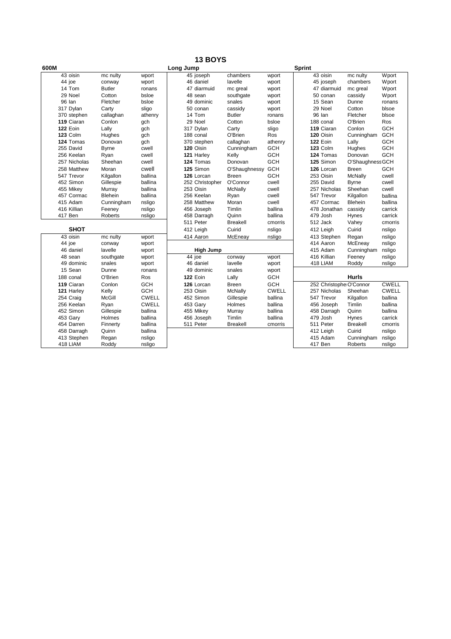|      |                 |                |              | <b>13 BOYS</b>   |                 |              |               |                         |                  |              |
|------|-----------------|----------------|--------------|------------------|-----------------|--------------|---------------|-------------------------|------------------|--------------|
| 600M |                 |                |              | Long Jump        |                 |              | <b>Sprint</b> |                         |                  |              |
|      | 43 oisin        | mc nulty       | wport        | 45 joseph        | chambers        | wport        |               | 43 oisin                | mc nulty         | Wport        |
|      | 44 joe          | conway         | wport        | 46 daniel        | lavelle         | wport        |               | 45 joseph               | chambers         | Wport        |
|      | 14 Tom          | <b>Butler</b>  | ronans       | 47 diarmuid      | mc greal        | wport        |               | 47 diarmuid             | mc greal         | Wport        |
|      | 29 Noel         | Cotton         | bsloe        | 48 sean          | southgate       | wport        |               | 50 conan                | cassidy          | Wport        |
|      | 96 lan          | Fletcher       | bsloe        | 49 dominic       | snales          | wport        |               | 15 Sean                 | Dunne            | ronans       |
|      | 317 Dylan       | Carty          | sligo        | 50 conan         | cassidy         | wport        |               | 29 Noel                 | Cotton           | blsoe        |
|      | 370 stephen     | callaghan      | athenry      | 14 Tom           | <b>Butler</b>   | ronans       |               | 96 lan                  | Fletcher         | blsoe        |
|      | 119 Ciaran      | Conlon         | qch          | 29 Noel          | Cotton          | bsloe        |               | 188 conal               | O'Brien          | Ros          |
|      | <b>122 Eoin</b> | Lally          | gch          | 317 Dylan        | Carty           | sligo        |               | 119 Ciaran              | Conlon           | GCH          |
|      | 123 Colm        | Hughes         | gch          | 188 conal        | O'Brien         | Ros          |               | 120 Oisin               | Cunningham       | GCH          |
|      | 124 Tomas       | Donovan        | gch          | 370 stephen      | callaghan       | athenry      |               | <b>122 Eoin</b>         | Lally            | <b>GCH</b>   |
|      | 255 David       | <b>Byrne</b>   | cwell        | 120 Oisin        | Cunningham      | GCH          |               | 123 Colm                | Hughes           | <b>GCH</b>   |
|      | 256 Keelan      | Ryan           | cwell        | 121 Harley       | Kelly           | <b>GCH</b>   |               | 124 Tomas               | Donovan          | <b>GCH</b>   |
|      | 257 Nicholas    | Sheehan        | cwell        | 124 Tomas        | Donovan         | GCH          |               | 125 Simon               | O'Shaughness GCH |              |
|      | 258 Matthew     | Moran          | cwell        | 125 Simon        | O'Shaughnessy   | GCH          |               | 126 Lorcan              | Breen            | GCH          |
|      | 547 Trevor      | Kilgallon      | ballina      | 126 Lorcan       | <b>Breen</b>    | GCH          |               | 253 Oisin               | McNally          | cwell        |
|      | 452 Simon       | Gillespie      | ballina      | 252 Christopher  | O'Connor        | cwell        |               | 255 David               | <b>Byrne</b>     | cwell        |
|      | 455 Mikey       | Murray         | ballina      | 253 Oisin        | McNally         | cwell        |               | 257 Nicholas            | Sheehan          | cwell        |
|      | 457 Cormac      | <b>Blehein</b> | ballina      | 256 Keelan       | Ryan            | cwell        |               | 547 Trevor              | Kilgallon        | ballina      |
|      | 415 Adam        | Cunningham     | nsligo       | 258 Matthew      | Moran           | cwell        |               | 457 Cormac              | <b>Blehein</b>   | ballina      |
|      | 416 Killian     | Feeney         | nsligo       | 456 Joseph       | Timlin          | ballina      |               | 478 Jonathan            | cassidy          | carrick      |
|      | 417 Ben         | Roberts        | nsligo       | 458 Darragh      | Quinn           | ballina      |               | 479 Josh                | Hynes            | carrick      |
|      |                 |                |              | 511 Peter        | <b>Breakell</b> | cmorris      |               | 512 Jack                | Vahey            | cmorris      |
|      | <b>SHOT</b>     |                |              | 412 Leigh        | Cuirid          | nsligo       |               | 412 Leigh               | Cuirid           | nsligo       |
|      | 43 oisin        | mc nulty       | wport        | 414 Aaron        | McEneay         | nsligo       |               | 413 Stephen             | Regan            | nsligo       |
|      | 44 joe          | conway         | wport        |                  |                 |              |               | 414 Aaron               | McEneay          | nsligo       |
|      | 46 daniel       | lavelle        | wport        | <b>High Jump</b> |                 |              |               | 415 Adam                | Cunningham       | nsligo       |
|      | 48 sean         | southgate      | wport        | 44 joe           | conway          | wport        |               | 416 Killian             | Feeney           | nsligo       |
|      | 49 dominic      | snales         | wport        | 46 daniel        | lavelle         | wport        |               | 418 LIAM                | Roddy            | nsligo       |
|      | 15 Sean         | Dunne          | ronans       | 49 dominic       | snales          | wport        |               |                         |                  |              |
|      | 188 conal       | O'Brien        | Ros          | <b>122 Eoin</b>  | Lally           | GCH          |               |                         | <b>Hurls</b>     |              |
|      | 119 Ciaran      | Conlon         | <b>GCH</b>   | 126 Lorcan       | <b>Breen</b>    | <b>GCH</b>   |               | 252 Christophe O'Connor |                  | <b>CWELL</b> |
|      | 121 Harley      | Kelly          | <b>GCH</b>   | 253 Oisin        | McNally         | <b>CWELL</b> |               | 257 Nicholas            | Sheehan          | <b>CWELL</b> |
|      | 254 Craig       | McGill         | <b>CWELL</b> | 452 Simon        | Gillespie       | ballina      |               | 547 Trevor              | Kilgallon        | ballina      |
|      | 256 Keelan      | Ryan           | <b>CWELL</b> | 453 Gary         | Holmes          | ballina      |               | 456 Joseph              | Timlin           | ballina      |
|      | 452 Simon       | Gillespie      | ballina      | 455 Mikey        | Murray          | ballina      |               | 458 Darragh             | Quinn            | ballina      |
|      | 453 Gary        | Holmes         | ballina      | 456 Joseph       | Timlin          | ballina      |               | 479 Josh                | Hynes            | carrick      |
|      | 454 Darren      | Finnerty       | ballina      | 511 Peter        | <b>Breakell</b> | cmorris      |               | 511 Peter               | <b>Breakell</b>  | cmorris      |
|      | 458 Darragh     | Quinn          | ballina      |                  |                 |              |               | 412 Leigh               | Cuirid           | nsligo       |
|      | 413 Stephen     | Regan          | nsligo       |                  |                 |              |               | 415 Adam                | Cunningham       | nsligo       |
|      | 418 LIAM        | Roddy          | nsligo       |                  |                 |              |               | 417 Ben                 | Roberts          | nsligo       |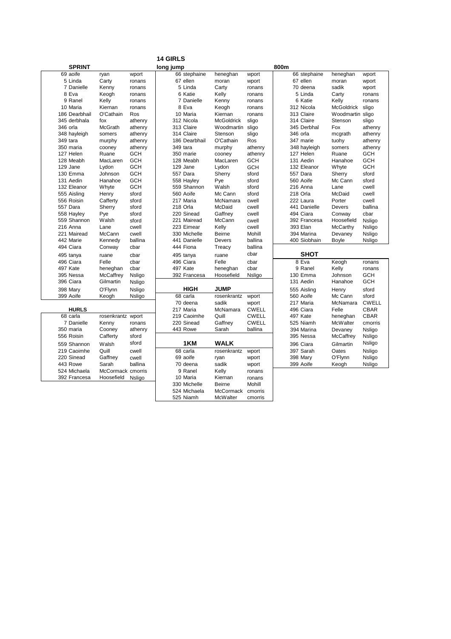|               |                   |            | <b>14 GIRLS</b> |                   |              |              |                   |              |
|---------------|-------------------|------------|-----------------|-------------------|--------------|--------------|-------------------|--------------|
| <b>SPRINT</b> |                   |            | long jump       |                   |              | 800m         |                   |              |
| 69 aoife      | ryan              | wport      | 66 stephaine    | heneghan          | wport        | 66 stephaine | heneghan          | wport        |
| 5 Linda       | Carty             | ronans     | 67 ellen        | moran             | wport        | 67 ellen     | moran             | wport        |
| 7 Danielle    | Kenny             | ronans     | 5 Linda         | Carty             | ronans       | 70 deena     | sadik             | wport        |
| 8 Eva         | Keogh             | ronans     | 6 Katie         | Kelly             | ronans       | 5 Linda      | Carty             | ronans       |
| 9 Ranel       | Kelly             | ronans     | 7 Danielle      | Kenny             | ronans       | 6 Katie      | Kelly             | ronans       |
| 10 Maria      | Kiernan           | ronans     | 8 Eva           | Keogh             | ronans       | 312 Nicola   | <b>McGoldrick</b> | sligo        |
| 186 Dearbhail | O'Cathain         | Ros        | 10 Maria        | Kiernan           | ronans       | 313 Claire   | Woodmartin sligo  |              |
| 345 derbhala  | fox               | athenry    | 312 Nicola      | <b>McGoldrick</b> | sligo        | 314 Claire   | Stenson           | sligo        |
| 346 orla      | McGrath           | athenry    | 313 Claire      | Woodmartin sligo  |              | 345 Derbhal  | Fox               | athenry      |
| 348 hayleigh  | somers            | athenry    | 314 Claire      | Stenson           | sligo        | 346 orla     | mcgrath           | athenry      |
| 349 tara      | murphy            | athenry    | 186 Dearbhail   | O'Cathain         | Ros          | 347 marie    | tuohy             | athenry      |
| 350 maria     | cooney            | athenry    | 349 tara        | murphy            | athenry      | 348 hayleigh | somers            | athenry      |
| 127 Helen     | Ruane             | <b>GCH</b> | 350 marie       | cooney            | athenry      | 127 Helen    | Ruane             | <b>GCH</b>   |
| 128 Meabh     | MacLaren          | <b>GCH</b> | 128 Meabh       | MacLaren          | <b>GCH</b>   | 131 Aedin    | Hanahoe           | <b>GCH</b>   |
| 129 Jane      | Lydon             | <b>GCH</b> | 129 Jane        | Lydon             | <b>GCH</b>   | 132 Eleanor  | Whyte             | <b>GCH</b>   |
| 130 Emma      | Johnson           | <b>GCH</b> | 557 Dara        | Sherry            | sford        | 557 Dara     | Sherry            | sford        |
| 131 Aedin     | Hanahoe           | <b>GCH</b> | 558 Hayley      | Pye               | sford        | 560 Aoife    | Mc Cann           | sford        |
| 132 Eleanor   | Whyte             | <b>GCH</b> | 559 Shannon     | Walsh             | sford        | 216 Anna     | Lane              | cwell        |
| 555 Aisling   | Henry             | sford      | 560 Aoife       | Mc Cann           | sford        | 218 Orla     | McDaid            | cwell        |
| 556 Roisin    | Cafferty          | sford      | 217 Maria       | McNamara          | cwell        | 222 Laura    | Porter            | cwell        |
| 557 Dara      | Sherry            | sford      | 218 Orla        | McDaid            | cwell        | 441 Danielle | Devers            | ballina      |
| 558 Hayley    | Pye               | sford      | 220 Sinead      | Gaffney           | cwell        | 494 Ciara    | Conway            | cbar         |
| 559 Shannon   | Walsh             | sford      | 221 Mairead     | McCann            | cwell        | 392 Francesa | Hoosefield        | Nsligo       |
| 216 Anna      | Lane              | cwell      | 223 Eimear      | Kelly             | cwell        | 393 Elan     | McCarthy          | Nsligo       |
| 221 Mairead   | McCann            | cwell      | 330 Michelle    | Beirne            | Mohill       | 394 Marina   | Devaney           | Nsligo       |
| 442 Marie     | Kennedy           | ballina    | 441 Danielle    | Devers            | ballina      | 400 Siobhain | Boyle             | Nsligo       |
| 494 Ciara     | Conway            | cbar       | 444 Fiona       | Treacy            | ballina      |              |                   |              |
| 495 tanya     | ruane             | cbar       | 495 tanya       | ruane             | cbar         | SHOT         |                   |              |
| 496 Ciara     | Felle             | cbar       | 496 Ciara       | Felle             | cbar         | 8 Eva        | Keogh             | ronans       |
| 497 Kate      | heneghan          | cbar       | 497 Kate        | heneghan          | cbar         | 9 Ranel      | Kelly             | ronans       |
| 395 Nessa     | McCaffrey         | Nsligo     | 392 Francesa    | Hoosefield        | Nsligo       | 130 Emma     | Johnson           | <b>GCH</b>   |
| 396 Ciara     | Gilmartin         | Nsligo     |                 |                   |              | 131 Aedin    | Hanahoe           | <b>GCH</b>   |
| 398 Mary      | O'Flynn           | Nsligo     | HIGH            | <b>JUMP</b>       |              | 555 Aisling  | Henry             | sford        |
| 399 Aoife     | Keogh             | Nsligo     | 68 carla        | rosenkrantz       | wport        | 560 Aoife    | Mc Cann           | sford        |
|               |                   |            | 70 deena        | sadik             | wport        | 217 Maria    | McNamara          | <b>CWELL</b> |
| <b>HURLS</b>  |                   |            | 217 Maria       | McNamara          | <b>CWELL</b> | 496 Ciara    | Felle             | <b>CBAR</b>  |
| 68 carla      | rosenkrantz wport |            | 219 Caoimhe     | Quill             | <b>CWELL</b> | 497 Kate     | heneghan          | CBAR         |
| 7 Danielle    | Kenny             | ronans     | 220 Sinead      | Gaffney           | <b>CWELL</b> | 525 Niamh    | <b>McWalter</b>   | cmorris      |
| 350 maria     | Cooney            | athenry    | 443 Rowe        | Sarah             | ballina      | 394 Marina   | Devaney           | Nsligo       |
| 556 Roisin    | Cafferty          | sford      |                 |                   |              | 395 Nessa    | McCaffrey         | Nsligo       |
| 559 Shannon   | Walsh             | sford      | 1KM             | <b>WALK</b>       |              | 396 Ciara    | Gilmartin         | Nsligo       |
| 219 Caoimhe   | Quill             | cwell      | 68 carla        | rosenkrantz       | wport        | 397 Sarah    | Oates             | Nsligo       |
| 220 Sinead    | Gaffney           | cwell      | 69 aoife        | ryan              | wport        | 398 Mary     | O'Flynn           | Nsligo       |
| 443 Rowe      | Sarah             | ballina    | 70 deena        | sadik             | wport        | 399 Aoife    | Keogh             | Nsligo       |
| 524 Michaela  | McCormack cmorris |            | 9 Ranel         | Kelly             | ronans       |              |                   |              |
| 392 Francesa  | Hoosefield        | Nsligo     | 10 Maria        | Kiernan           | ronans       |              |                   |              |
|               |                   |            | 330 Michelle    | <b>Beirne</b>     | Mohill       |              |                   |              |
|               |                   |            | 524 Michaela    | McCormack         | cmorris      |              |                   |              |
|               |                   |            | 525 Niamh       | McWalter          | cmorris      |              |                   |              |
|               |                   |            |                 |                   |              |              |                   |              |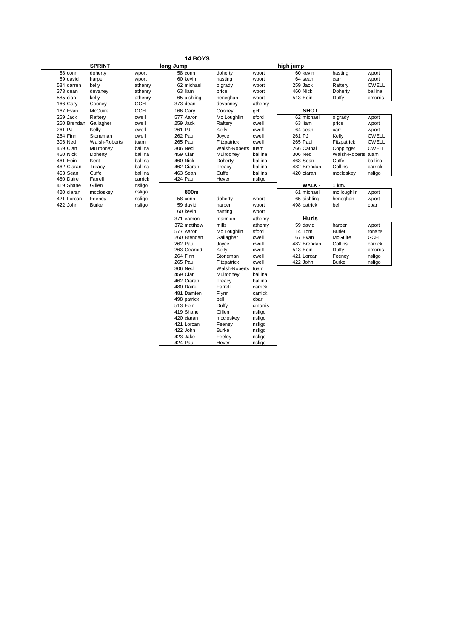| <b>14 BOYS</b> |
|----------------|
|----------------|

424 Paul Hever nsligo

|             | <b>SPRINT</b> |            | long Jump   |               |         |
|-------------|---------------|------------|-------------|---------------|---------|
| 58 conn     | doherty       | wport      | 58 conn     | doherty       | wport   |
| 59 david    | harper        | wport      | 60 kevin    | hasting       | wport   |
| 584 darren  | kelly         | athenry    | 62 michael  | o grady       | wport   |
| 373 dean    | devaney       | athenry    | 63 liam     | price         | wport   |
| 585 cian    | kelly         | athenry    | 65 aishling | heneghan      | wport   |
| 166 Gary    | Cooney        | <b>GCH</b> | 373 dean    | devanney      | athenry |
| 167 Evan    | McGuire       | <b>GCH</b> | 166 Gary    | Cooney        | gch     |
| 259 Jack    | Raftery       | cwell      | 577 Aaron   | Mc Loughlin   | sford   |
| 260 Brendan | Gallagher     | cwell      | 259 Jack    | Raftery       | cwell   |
| 261 PJ      | Kelly         | cwell      | 261 PJ      | Kelly         | cwell   |
| 264 Finn    | Stoneman      | cwell      | 262 Paul    | Joyce         | cwell   |
| 306 Ned     | Walsh-Roberts | tuam       | 265 Paul    | Fitzpatrick   | cwell   |
| 459 Cian    | Mulrooney     | ballina    | 306 Ned     | Walsh-Roberts | tuam    |
| 460 Nick    | Doherty       | ballina    | 459 Cian    | Mulrooney     | ballina |
| 461 Eoin    | Kent          | ballina    | 460 Nick    | Doherty       | ballina |
| 462 Ciaran  | Treacy        | ballina    | 462 Ciaran  | Treacy        | ballina |
| 463 Sean    | Cuffe         | ballina    | 463 Sean    | Cuffe         | ballina |
| 480 Daire   | Farrell       | carrick    | 424 Paul    | Hever         | nsligo  |
| 419 Shane   | Gillen        | nsligo     |             |               |         |
| 420 ciaran  | mccloskey     | nsligo     | 800m        |               |         |
| 421 Lorcan  | Feeney        | nsligo     | 58 conn     | doherty       | wport   |
| 422 John    | <b>Burke</b>  | nsligo     | 59 david    | harper        | wport   |
|             |               |            | 60 kevin    | hasting       | wport   |
|             |               |            | 371 eamon   | mannion       | athenry |
|             |               |            | 372 matthow | mille         | athann  |

|             | <b>SPRINT</b> |            | long Jump |             |               |         | high jump |               |                    |              |
|-------------|---------------|------------|-----------|-------------|---------------|---------|-----------|---------------|--------------------|--------------|
| 58 conn     | doherty       | wport      |           | 58 conn     | doherty       | wport   |           | 60 kevin      | hasting            | wport        |
| 59 david    | harper        | wport      |           | 60 kevin    | hasting       | wport   |           | 64 sean       | carr               | wport        |
| 584 darren  | kelly         | athenry    |           | 62 michael  | o grady       | wport   |           | 259 Jack      | Raftery            | <b>CWELL</b> |
| 373 dean    | devaney       | athenry    |           | 63 liam     | price         | wport   |           | 460 Nick      | Doherty            | ballina      |
| 585 cian    | kelly         | athenry    |           | 65 aishling | heneghan      | wport   |           | 513 Eoin      | Duffy              | cmorris      |
| 166 Gary    | Cooney        | <b>GCH</b> |           | 373 dean    | devanney      | athenry |           |               |                    |              |
| 167 Evan    | McGuire       | <b>GCH</b> |           | 166 Gary    | Cooney        | gch     |           | <b>SHOT</b>   |                    |              |
| 259 Jack    | Raftery       | cwell      |           | 577 Aaron   | Mc Loughlin   | sford   |           | 62 michael    | o grady            | wport        |
| 260 Brendan | Gallagher     | cwell      |           | 259 Jack    | Raftery       | cwell   |           | 63 liam       | price              | wport        |
| 261 PJ      | Kelly         | cwell      | 261 PJ    |             | Kelly         | cwell   |           | 64 sean       | carr               | wport        |
| 264 Finn    | Stoneman      | cwell      |           | 262 Paul    | Joyce         | cwell   | 261 PJ    |               | Kelly              | <b>CWELL</b> |
| 306 Ned     | Walsh-Roberts | tuam       |           | 265 Paul    | Fitzpatrick   | cwell   |           | 265 Paul      | Fitzpatrick        | <b>CWELL</b> |
| 459 Cian    | Mulrooney     | ballina    |           | 306 Ned     | Walsh-Roberts | tuam    |           | 266 Cathal    | Coppinger          | <b>CWELL</b> |
| 460 Nick    | Doherty       | ballina    |           | 459 Cian    | Mulrooney     | ballina |           | 306 Ned       | Walsh-Roberts tuam |              |
| 461 Eoin    | Kent          | ballina    |           | 460 Nick    | Doherty       | ballina |           | 463 Sean      | Cuffe              | ballina      |
| 462 Ciaran  | Treacy        | ballina    |           | 462 Ciaran  | Treacy        | ballina |           | 482 Brendan   | Collins            | carrick      |
| 463 Sean    | Cuffe         | ballina    |           | 463 Sean    | Cuffe         | ballina |           | 420 ciaran    | mccloskey          | nsligo       |
| 480 Daire   | Farrell       | carrick    |           | 424 Paul    | Hever         | nsligo  |           |               |                    |              |
| 419 Shane   | Gillen        | nsligo     |           |             |               |         |           | <b>WALK -</b> | 1 km.              |              |
| 420 ciaran  | mccloskey     | nsligo     |           | 800m        |               |         |           | 61 michael    | mc loughlin        | wport        |
| 421 Lorcan  | Feeney        | nsligo     |           | 58 conn     | doherty       | wport   |           | 65 aishling   | heneghan           | wport        |
| 422 John    | <b>Burke</b>  | nsligo     |           | 59 david    | harper        | wport   |           | 498 patrick   | bell               | cbar         |
|             |               |            |           | 60 kevin    | hasting       | wport   |           |               |                    |              |
|             |               |            |           | 371 eamon   | mannion       | athenry |           | <b>Hurls</b>  |                    |              |
|             |               |            |           | 372 matthew | mills         | athenry |           | 59 david      | harper             | wport        |
|             |               |            |           | 577 Aaron   | Mc Loughlin   | sford   |           | 14 Tom        | <b>Butler</b>      | ronans       |
|             |               |            |           | 260 Brendan | Gallagher     | cwell   |           | 167 Evan      | McGuire            | <b>GCH</b>   |
|             |               |            |           | 262 Paul    | Joyce         | cwell   |           | 482 Brendan   | Collins            | carrick      |
|             |               |            |           | 263 Gearoid | Kelly         | cwell   |           | 513 Eoin      | Duffy              | cmorris      |
|             |               |            |           | 264 Finn    | Stoneman      | cwell   |           | 421 Lorcan    | Feeney             | nsligo       |
|             |               |            |           | 265 Paul    | Fitzpatrick   | cwell   |           | 422 John      | <b>Burke</b>       | nsligo       |
|             |               |            |           | 306 Ned     | Walsh-Roberts | tuam    |           |               |                    |              |
|             |               |            |           | 459 Cian    | Mulrooney     | ballina |           |               |                    |              |
|             |               |            |           | 462 Ciaran  | Treacy        | ballina |           |               |                    |              |
|             |               |            |           | 480 Daire   | Farrell       | carrick |           |               |                    |              |
|             |               |            |           | 481 Damien  | Flynn         | carrick |           |               |                    |              |
|             |               |            |           | 498 patrick | bell          | cbar    |           |               |                    |              |
|             |               |            |           | 513 Eoin    | Duffy         | cmorris |           |               |                    |              |
|             |               |            |           | 419 Shane   | Gillen        | nsligo  |           |               |                    |              |
|             |               |            |           | 420 ciaran  | mccloskey     | nsligo  |           |               |                    |              |
|             |               |            |           | 421 Lorcan  | Feeney        | nsligo  |           |               |                    |              |
|             |               |            |           | 422 John    | <b>Burke</b>  | nsligo  |           |               |                    |              |
|             |               |            |           | 423 Jake    | Feeley        | nsligo  |           |               |                    |              |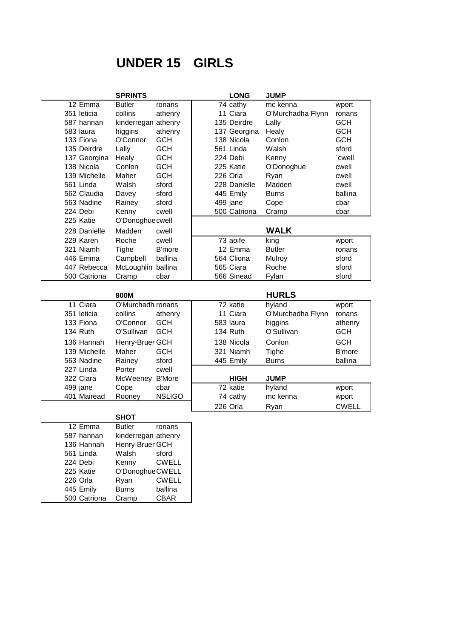# **UNDER 15 GIRLS**

|                         | <b>SPRINTS</b>           |               | <b>LONG</b>  | <b>JUMP</b>           |               |
|-------------------------|--------------------------|---------------|--------------|-----------------------|---------------|
| $\overline{12}$ Emma    | <b>Butler</b>            | ronans        | 74 cathy     | mc kenna              | wport         |
| 351 leticia             | collins                  | athenry       | 11 Ciara     | O'Murchadha Flynn     | ronans        |
| 587 hannan              | kinderregan athenry      |               | 135 Deirdre  | Lally                 | <b>GCH</b>    |
| 583 laura               | higgins                  | athenry       | 137 Georgina | Healy                 | <b>GCH</b>    |
| 133 Fiona               | O'Connor                 | <b>GCH</b>    | 138 Nicola   | Conlon                | <b>GCH</b>    |
| 135 Deirdre             | Lally                    | <b>GCH</b>    | 561 Linda    | Walsh                 | sford         |
| 137 Georgina            | Healy                    | <b>GCH</b>    | 224 Debi     | Kenny                 | `cwell        |
| 138 Nicola              | Conlon                   | <b>GCH</b>    | 225 Katie    | O'Donoghue            | cwell         |
| 139 Michelle            | Maher                    | <b>GCH</b>    | 226 Orla     | Ryan                  | cwell         |
| 561 Linda               | Walsh                    | sford         | 228 Danielle | Madden                | cwell         |
| 562 Claudia             | Davey                    | sford         | 445 Emily    | <b>Burns</b>          | ballina       |
| 563 Nadine              | Rainey                   | sford         | 499 jane     | Cope                  | cbar          |
| 224 Debi                | Kenny                    | cwell         | 500 Catriona | Cramp                 | cbar          |
| 225 Katie               | O'Donoghue cwell         |               |              |                       |               |
| 228 Danielle            | Madden                   | cwell         |              | <b>WALK</b>           |               |
| 229 Karen               | Roche                    | cwell         | 73 aoife     | king                  | wport         |
| 321 Niamh               | <b>Tighe</b>             | <b>B'more</b> | 12 Emma      | <b>Butler</b>         | ronans        |
| 446 Emma                | Campbell                 | ballina       | 564 Cliona   | Mulroy                | sford         |
| 447 Rebecca             | McLoughlin ballina       |               | 565 Ciara    | Roche                 | sford         |
| 500 Catriona            | Cramp                    | cbar          | 566 Sinead   | Fylan                 | sford         |
|                         |                          |               |              |                       |               |
|                         |                          |               |              |                       |               |
|                         | 800M                     |               |              | <b>HURLS</b>          |               |
| 11 Ciara                | O'Murchadh ronans        |               | 72 katie     | hyland                | wport         |
| 351 leticia             | collins                  | athenry       | 11 Ciara     | O'Murchadha Flynn     | ronans        |
| 133 Fiona               | O'Connor                 | <b>GCH</b>    | 583 laura    | higgins               | athenry       |
| 134 Ruth                | O'Sullivan               | <b>GCH</b>    | 134 Ruth     | O'Sullivan            | <b>GCH</b>    |
| 136 Hannah              | Henry-Bruer GCH          |               | 138 Nicola   | Conlon                | <b>GCH</b>    |
| 139 Michelle            | Maher                    | <b>GCH</b>    | 321 Niamh    |                       | <b>B'more</b> |
| 563 Nadine              | Rainey                   | sford         | 445 Emily    | Tighe<br><b>Burns</b> | ballina       |
| 227 Linda               | Porter                   | cwell         |              |                       |               |
| 322 Ciara               | McWeeney                 | <b>B'More</b> | <b>HIGH</b>  | <b>JUMP</b>           |               |
| 499 jane                | Cope                     | cbar          | 72 katie     | hyland                | wport         |
| 401 Mairead             | Rooney                   | <b>NSLIGO</b> | 74 cathy     | mc kenna              | wport         |
|                         |                          |               | 226 Orla     | Ryan                  | <b>CWELL</b>  |
|                         | <b>SHOT</b>              |               |              |                       |               |
|                         | <b>Butler</b>            | ronans        |              |                       |               |
| 12 Emma<br>587 hannan   |                          |               |              |                       |               |
|                         | kinderregan athenry      |               |              |                       |               |
| 136 Hannah<br>561 Linda | Henry-Bruer GCH<br>Walsh | sford         |              |                       |               |

|  | 561 Linda    | vvaisn           | sford        |
|--|--------------|------------------|--------------|
|  | 224 Debi     | Kenny            | <b>CWELL</b> |
|  | 225 Katie    | O'Donoghue CWELL |              |
|  | 226 Orla     | Ryan             | <b>CWELL</b> |
|  | 445 Emily    | <b>Burns</b>     | ballina      |
|  | 500 Catriona | Cramp            | <b>CBAR</b>  |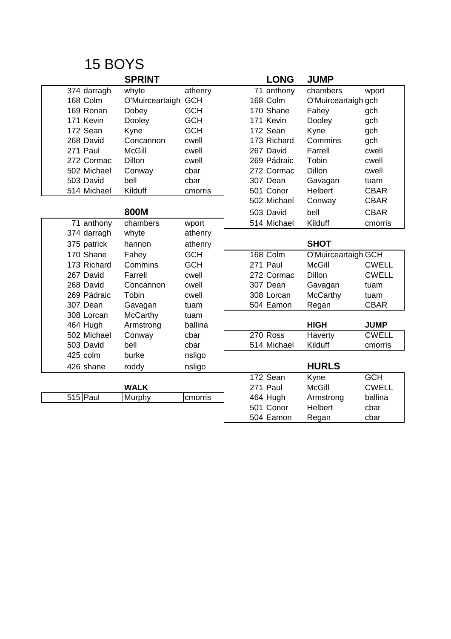|             | <b>SPRINT</b>       |            | <b>LONG</b> | <b>JUMP</b>         |              |
|-------------|---------------------|------------|-------------|---------------------|--------------|
| 374 darragh | whyte               | athenry    | 71 anthony  | chambers            | wport        |
| 168 Colm    | O'Muirceartaigh GCH |            | 168 Colm    | O'Muirceartaigh gch |              |
| 169 Ronan   | Dobey               | <b>GCH</b> | 170 Shane   | Fahey               | gch          |
| 171 Kevin   | Dooley              | <b>GCH</b> | 171 Kevin   | Dooley              | gch          |
| 172 Sean    | Kyne                | <b>GCH</b> | 172 Sean    | Kyne                | gch          |
| 268 David   | Concannon           | cwell      | 173 Richard | Commins             | gch          |
| 271 Paul    | <b>McGill</b>       | cwell      | 267 David   | Farrell             | cwell        |
| 272 Cormac  | <b>Dillon</b>       | cwell      | 269 Pádraic | Tobin               | cwell        |
| 502 Michael | Conway              | cbar       | 272 Cormac  | <b>Dillon</b>       | cwell        |
| 503 David   | bell                | cbar       | 307 Dean    | Gavagan             | tuam         |
| 514 Michael | Kilduff             | cmorris    | 501 Conor   | Helbert             | <b>CBAR</b>  |
|             |                     |            | 502 Michael | Conway              | <b>CBAR</b>  |
|             | 800M                |            | 503 David   | bell                | <b>CBAR</b>  |
| 71 anthony  | chambers            | wport      | 514 Michael | Kilduff             | cmorris      |
| 374 darragh | whyte               | athenry    |             |                     |              |
| 375 patrick | hannon              | athenry    |             | <b>SHOT</b>         |              |
| 170 Shane   | Fahey               | <b>GCH</b> | 168 Colm    | O'Muirceartaigh GCH |              |
| 173 Richard | Commins             | <b>GCH</b> | 271 Paul    | <b>McGill</b>       | <b>CWELL</b> |
| 267 David   | Farrell             | cwell      | 272 Cormac  | <b>Dillon</b>       | <b>CWELL</b> |
| 268 David   | Concannon           | cwell      | 307 Dean    | Gavagan             | tuam         |
| 269 Pádraic | Tobin               | cwell      | 308 Lorcan  | <b>McCarthy</b>     | tuam         |
| 307 Dean    | Gavagan             | tuam       | 504 Eamon   | Regan               | <b>CBAR</b>  |
| 308 Lorcan  | <b>McCarthy</b>     | tuam       |             |                     |              |
| 464 Hugh    | Armstrong           | ballina    |             | <b>HIGH</b>         | <b>JUMP</b>  |
| 502 Michael | Conway              | cbar       | 270 Ross    | Haverty             | <b>CWELL</b> |
| 503 David   | bell                | cbar       | 514 Michael | Kilduff             | cmorris      |
| 425 colm    | burke               | nsligo     |             |                     |              |
| 426 shane   | roddy               | nsligo     |             | <b>HURLS</b>        |              |
|             |                     |            | 172 Sean    | Kyne                | <b>GCH</b>   |
|             | <b>WALK</b>         |            | 271 Paul    | <b>McGill</b>       | <b>CWELL</b> |
| $515$  Paul | Murphy              | cmorris    | 464 Hugh    | Armstrong           | ballina      |
|             |                     |            | 501 Conor   | <b>Helbert</b>      | cbar         |
|             |                     |            | 504 Eamon   | Regan               | cbar         |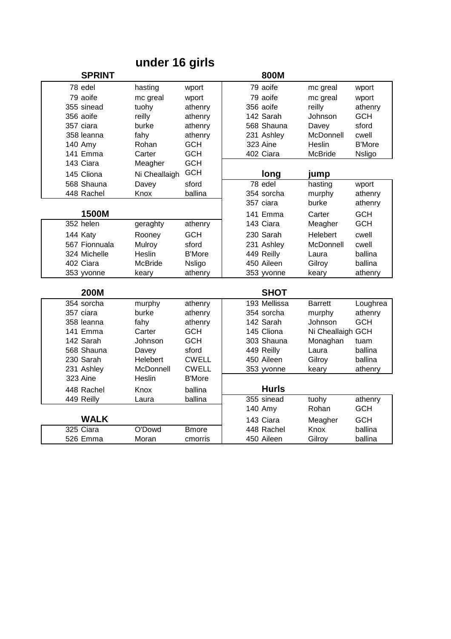## **under 16 girls**

|             | <b>SPRINT</b> |                |               | 800M         |                   |               |
|-------------|---------------|----------------|---------------|--------------|-------------------|---------------|
| 78 edel     |               | hasting        | wport         | 79 aoife     | mc greal          | wport         |
|             | 79 aoife      | mc greal       | wport         | 79 aoife     | mc greal          | wport         |
|             | 355 sinead    | tuohy          | athenry       | 356 aoife    | reilly            | athenry       |
| 356 aoife   |               | reilly         | athenry       | 142 Sarah    | Johnson           | <b>GCH</b>    |
| 357 ciara   |               | burke          | athenry       | 568 Shauna   | Davey             | sford         |
|             | 358 leanna    | fahy           | athenry       | 231 Ashley   | McDonnell         | cwell         |
| 140 Amy     |               | Rohan          | <b>GCH</b>    | 323 Aine     | Heslin            | <b>B'More</b> |
|             | 141 Emma      | Carter         | <b>GCH</b>    | 402 Ciara    | <b>McBride</b>    | Nsligo        |
| 143 Ciara   |               | Meagher        | <b>GCH</b>    |              |                   |               |
|             | 145 Cliona    | Ni Cheallaigh  | <b>GCH</b>    | long         | jump              |               |
|             | 568 Shauna    | Davey          | sford         | $78$ edel    | hasting           | wport         |
|             | 448 Rachel    | Knox           | ballina       | 354 sorcha   | murphy            | athenry       |
|             |               |                |               | 357 ciara    | burke             | athenry       |
|             | 1500M         |                |               | 141 Emma     | Carter            | <b>GCH</b>    |
| $352$ helen |               | geraghty       | athenry       | 143 Ciara    | Meagher           | <b>GCH</b>    |
| 144 Katy    |               | Rooney         | <b>GCH</b>    | 230 Sarah    | Helebert          | cwell         |
|             | 567 Fionnuala | Mulroy         | sford         | 231 Ashley   | McDonnell         | cwell         |
|             | 324 Michelle  | Heslin         | <b>B'More</b> | 449 Reilly   | Laura             | ballina       |
| 402 Ciara   |               | <b>McBride</b> | <b>Nsligo</b> | 450 Aileen   | Gilroy            | ballina       |
|             | 353 yvonne    | keary          | athenry       | 353 yvonne   | keary             | athenry       |
|             |               |                |               |              |                   |               |
|             | <b>200M</b>   |                |               | <b>SHOT</b>  |                   |               |
|             | 354 sorcha    | murphy         | athenry       | 193 Mellissa | <b>Barrett</b>    | Loughrea      |
| 357 ciara   |               | burke          | athenry       | 354 sorcha   | murphy            | athenry       |
|             | 358 leanna    | fahy           | athenry       | 142 Sarah    | Johnson           | <b>GCH</b>    |
|             | 141 Emma      | Carter         | <b>GCH</b>    | 145 Cliona   | Ni Cheallaigh GCH |               |
|             | 142 Sarah     | Johnson        | <b>GCH</b>    | 303 Shauna   | Monaghan          | tuam          |
|             | 568 Shauna    | Davey          | sford         | 449 Reilly   | Laura             | ballina       |
|             | 230 Sarah     | Helebert       | <b>CWELL</b>  | 450 Aileen   | Gilroy            | ballina       |
|             | 231 Ashley    | McDonnell      | <b>CWELL</b>  | 353 yvonne   | keary             | athenry       |
| 323 Aine    |               | Heslin         | <b>B'More</b> |              |                   |               |
|             | 448 Rachel    | <b>Knox</b>    | ballina       | <b>Hurls</b> |                   |               |
| 449 Reilly  |               | Laura          | ballina       | 355 sinead   | tuohy             | athenry       |
|             |               |                |               | 140 Amy      | Rohan             | <b>GCH</b>    |
|             | <b>WALK</b>   |                |               | 143 Ciara    | Meagher           | <b>GCH</b>    |
| 325 Ciara   |               | O'Dowd         | <b>B</b> more | 448 Rachel   | Knox              | ballina       |
|             | 526 Emma      | Moran          | cmorris       | 450 Aileen   | Gilroy            | ballina       |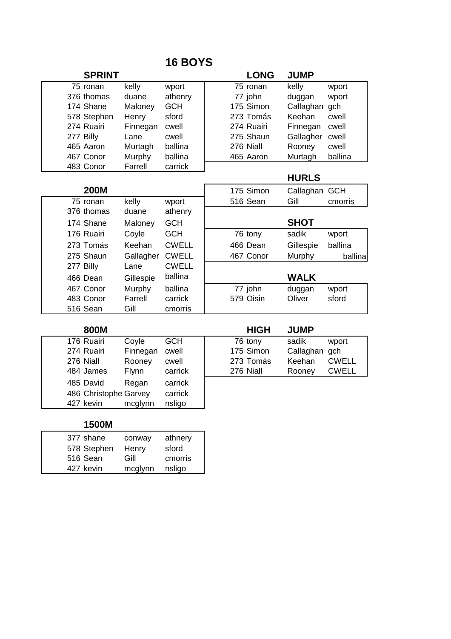| <b>SPRINT</b> |           |              | <b>LONG</b> | <b>JUMP</b>   |         |
|---------------|-----------|--------------|-------------|---------------|---------|
| 75 ronan      | kelly     | wport        | 75 ronan    | kelly         | wport   |
| 376 thomas    | duane     | athenry      | 77 john     | duggan        | wport   |
| 174 Shane     | Maloney   | <b>GCH</b>   | 175 Simon   | Callaghan     | gch     |
| 578 Stephen   | Henry     | sford        | 273 Tomás   | Keehan        | cwell   |
| 274 Ruairi    | Finnegan  | cwell        | 274 Ruairi  | Finnegan      | cwell   |
| 277 Billy     | Lane      | cwell        | 275 Shaun   | Gallagher     | cwell   |
| 465 Aaron     | Murtagh   | ballina      | 276 Niall   | Rooney        | cwell   |
| 467 Conor     | Murphy    | ballina      | 465 Aaron   | Murtagh       | ballina |
| 483 Conor     | Farrell   | carrick      |             |               |         |
|               |           |              |             | <b>HURLS</b>  |         |
| <b>200M</b>   |           |              | 175 Simon   | Callaghan GCH |         |
| 75 ronan      | kelly     | wport        | 516 Sean    | Gill          | cmorris |
| 376 thomas    | duane     | athenry      |             |               |         |
| 174 Shane     | Maloney   | <b>GCH</b>   |             | <b>SHOT</b>   |         |
| 176 Ruairi    | Coyle     | <b>GCH</b>   | 76 tony     | sadik         | wport   |
| 273 Tomás     | Keehan    | <b>CWELL</b> | 466 Dean    | Gillespie     | ballina |
| 275 Shaun     | Gallagher | <b>CWELL</b> | 467 Conor   | Murphy        | ballina |
| 277 Billy     | Lane      | <b>CWELL</b> |             |               |         |
| 466 Dean      | Gillespie | ballina      |             | <b>WALK</b>   |         |
| 467 Conor     | Murphy    | ballina      | 77 john     | duggan        | wport   |
| 483 Conor     | Farrell   | carrick      | 579 Oisin   | Oliver        | sford   |
| 516 Sean      | Gill      | cmorris      |             |               |         |

| 800M                  |              |            | <b>HIGH</b> | <b>JUMP</b>   |              |
|-----------------------|--------------|------------|-------------|---------------|--------------|
| 176 Ruairi            | Coyle        | <b>GCH</b> | 76 tony     | sadik         | wport        |
| 274 Ruairi            | Finnegan     | cwell      | 175 Simon   | Callaghan gch |              |
| 276 Niall             | Rooney       | cwell      | 273 Tomás   | Keehan        | <b>CWELL</b> |
| 484 James             | <b>Flynn</b> | carrick    | 276 Niall   | Rooney        | <b>CWELL</b> |
| 485 David             | Regan        | carrick    |             |               |              |
| 486 Christophe Garvey |              | carrick    |             |               |              |
| 427 kevin             | mcglynn      | nsligo     |             |               |              |

| М<br>וו<br>10<br>I |  |
|--------------------|--|
|--------------------|--|

| 377 shane   | conway  | athnery |
|-------------|---------|---------|
| 578 Stephen | Henry   | sford   |
| 516 Sean    | Gill    | cmorris |
| 427 kevin   | mcglynn | nsligo  |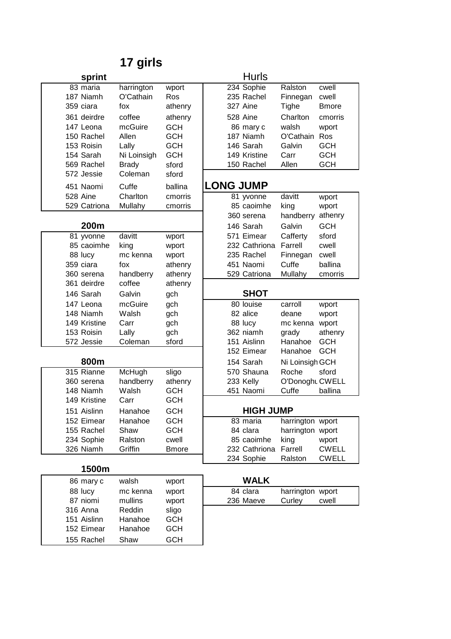# **17 girls**

| sprint                  |                    |                       |                  | Hurls                    |                          |                       |
|-------------------------|--------------------|-----------------------|------------------|--------------------------|--------------------------|-----------------------|
| 83 maria                | harrington         | wport                 |                  | 234 Sophie               | Ralston                  | cwell                 |
| 187 Niamh               | O'Cathain          | Ros                   |                  | 235 Rachel               | Finnegan                 | cwell                 |
| 359 ciara               | fox                | athenry               |                  | 327 Aine                 | Tighe                    | <b>B</b> more         |
| 361 deirdre             | coffee             | athenry               |                  | 528 Aine                 | Charlton                 | cmorris               |
| 147 Leona               | mcGuire            | <b>GCH</b>            |                  | 86 mary c                | walsh                    | wport                 |
| 150 Rachel              | Allen              | <b>GCH</b>            |                  | 187 Niamh                | O'Cathain                | Ros                   |
| 153 Roisin              | Lally              | <b>GCH</b>            |                  | 146 Sarah                | Galvin                   | <b>GCH</b>            |
| 154 Sarah               | Ni Loinsigh        | <b>GCH</b>            |                  | 149 Kristine             | Carr                     | <b>GCH</b>            |
| 569 Rachel              | <b>Brady</b>       | sford                 |                  | 150 Rachel               | Allen                    | <b>GCH</b>            |
| 572 Jessie              | Coleman            | sford                 |                  |                          |                          |                       |
| 451 Naomi               | Cuffe              | ballina               | <b>LONG JUMP</b> |                          |                          |                       |
| 528 Aine                | Charlton           | cmorris               |                  | 81 yvonne                | davitt                   | wport                 |
| 529 Catriona            | Mullahy            | cmorris               |                  | 85 caoimhe               | king                     | wport                 |
|                         |                    |                       |                  | 360 serena               | handberry                | athenry               |
| 200m                    |                    |                       |                  | 146 Sarah                | Galvin                   | <b>GCH</b>            |
| 81 yvonne               | davitt             | wport                 |                  | 571 Eimear               | Cafferty                 | sford                 |
| 85 caoimhe              | king               | wport                 |                  | 232 Cathriona            | Farrell                  | cwell                 |
| 88 lucy                 | mc kenna           | wport                 |                  | 235 Rachel               | Finnegan                 | cwell                 |
| 359 ciara               | fox                | athenry               |                  | 451 Naomi                | Cuffe                    | ballina               |
| 360 serena              | handberry          | athenry               |                  | 529 Catriona             | Mullahy                  | cmorris               |
| 361 deirdre             | coffee             | athenry               |                  |                          |                          |                       |
| 146 Sarah               | Galvin             | gch                   |                  | <b>SHOT</b>              |                          |                       |
| 147 Leona               | mcGuire            | gch                   |                  | 80 louise                | carroll                  | wport                 |
| 148 Niamh               | Walsh              | gch                   |                  | 82 alice                 | deane                    | wport                 |
| 149 Kristine            | Carr               | gch                   |                  | 88 lucy                  | mc kenna wport           |                       |
| 153 Roisin              | Lally              | gch                   |                  | 362 niamh<br>151 Aislinn | grady                    | athenry<br><b>GCH</b> |
| 572 Jessie              | Coleman            | sford                 |                  | 152 Eimear               | Hanahoe<br>Hanahoe       | <b>GCH</b>            |
| 800m                    |                    |                       |                  | 154 Sarah                |                          |                       |
| 315 Rianne              |                    |                       |                  |                          | Ni Loinsigh GCH          |                       |
|                         | McHugh             | sligo                 |                  | 570 Shauna<br>233 Kelly  | Roche<br>O'Donoght CWELL | sford                 |
| 360 serena<br>148 Niamh | handberry<br>Walsh | athenry<br><b>GCH</b> |                  | 451 Naomi                | Cuffe                    | ballina               |
| 149 Kristine            | Carr               | <b>GCH</b>            |                  |                          |                          |                       |
| 151 Aislinn             |                    | <b>GCH</b>            |                  | <b>HIGH JUMP</b>         |                          |                       |
| 152 Eimear              | Hanahoe<br>Hanahoe | <b>GCH</b>            |                  | 83 maria                 | harrington wport         |                       |
| 155 Rachel              | Shaw               | <b>GCH</b>            |                  | 84 clara                 | harrington wport         |                       |
| 234 Sophie              | Ralston            | cwell                 |                  | 85 caoimhe               | king                     | wport                 |
| 326 Niamh               | Griffin            | <b>B</b> more         |                  | 232 Cathriona            | Farrell                  | <b>CWELL</b>          |
|                         |                    |                       |                  | 234 Sophie               | Ralston                  | <b>CWELL</b>          |
| 1500m                   |                    |                       |                  |                          |                          |                       |
| 86 mary c               | walsh              | wport                 |                  | <b>WALK</b>              |                          |                       |
| 88 lucy                 | mc kenna           | wport                 |                  | 84 clara                 | harrington wport         |                       |
| 87 niomi                | mullins            | wport                 |                  | 236 Maeve                | Curley                   | cwell                 |
| 316 Anna                | Reddin             | sligo                 |                  |                          |                          |                       |
| 151 Aislinn             | Hanahoe            | <b>GCH</b>            |                  |                          |                          |                       |
| 152 Eimear              | Hanahoe            | <b>GCH</b>            |                  |                          |                          |                       |
| 155 Rachel              | Shaw               | <b>GCH</b>            |                  |                          |                          |                       |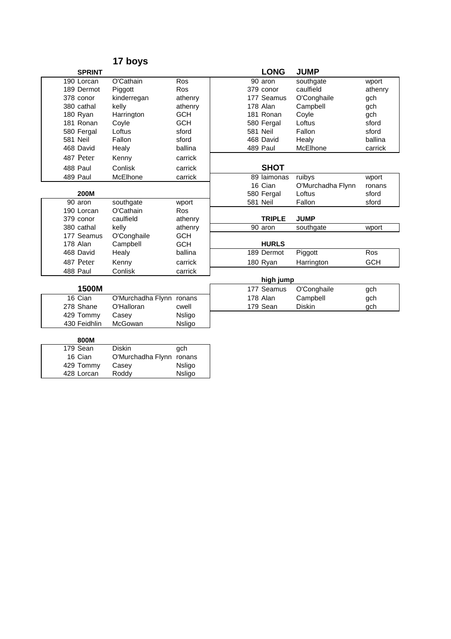|                 |               | 17 boys           |            |                 |                      |                   |            |
|-----------------|---------------|-------------------|------------|-----------------|----------------------|-------------------|------------|
|                 | <b>SPRINT</b> |                   |            |                 | <b>LONG</b>          | <b>JUMP</b>       |            |
|                 | 190 Lorcan    | O'Cathain         | Ros        |                 | $\overline{90}$ aron | southgate         | wport      |
|                 | 189 Dermot    | Piggott           | Ros        |                 | 379 conor            | caulfield         | athenry    |
|                 | 378 conor     | kinderregan       | athenry    |                 | 177 Seamus           | O'Conghaile       | gch        |
|                 | 380 cathal    | kelly             | athenry    |                 | 178 Alan             | Campbell          | gch        |
|                 | 180 Ryan      | Harrington        | <b>GCH</b> |                 | 181 Ronan            | Coyle             | gch        |
|                 | 181 Ronan     | Coyle             | <b>GCH</b> |                 | 580 Fergal           | Loftus            | sford      |
|                 | 580 Fergal    | Loftus            | sford      | <b>581 Neil</b> |                      | Fallon            | sford      |
| <b>581 Neil</b> |               | Fallon            | sford      |                 | 468 David            | Healy             | ballina    |
|                 | 468 David     | Healy             | ballina    |                 | 489 Paul             | McElhone          | carrick    |
|                 | 487 Peter     | Kenny             | carrick    |                 |                      |                   |            |
|                 | 488 Paul      | Conlisk           | carrick    |                 | <b>SHOT</b>          |                   |            |
|                 | 489 Paul      | McElhone          | carrick    |                 | 89 laimonas          | ruibys            | wport      |
|                 |               |                   |            |                 | 16 Cian              | O'Murchadha Flynn | ronans     |
|                 | 200M          |                   |            |                 | 580 Fergal           | Loftus            | sford      |
|                 | 90 aron       | southgate         | wport      | 581 Neil        |                      | Fallon            | sford      |
|                 | 190 Lorcan    | O'Cathain         | <b>Ros</b> |                 |                      |                   |            |
|                 | 379 conor     | caulfield         | athenry    |                 | <b>TRIPLE</b>        | <b>JUMP</b>       |            |
|                 | 380 cathal    | kelly             | athenry    |                 | 90 aron              | southgate         | wport      |
|                 | 177 Seamus    | O'Conghaile       | <b>GCH</b> |                 |                      |                   |            |
|                 | 178 Alan      | Campbell          | <b>GCH</b> |                 | <b>HURLS</b>         |                   |            |
|                 | 468 David     | Healy             | ballina    |                 | 189 Dermot           | Piggott           | Ros        |
|                 | 487 Peter     | Kenny             | carrick    |                 | 180 Ryan             | Harrington        | <b>GCH</b> |
|                 | 488 Paul      | Conlisk           | carrick    |                 |                      |                   |            |
|                 |               |                   |            |                 | high jump            |                   |            |
|                 | 1500M         |                   |            |                 | 177 Seamus           | O'Conghaile       | gch        |
|                 | 16 Cian       | O'Murchadha Flynn | ronans     |                 | 178 Alan             | Campbell          | gch        |
|                 | 278 Shane     | O'Halloran        | cwell      |                 | 179 Sean             | <b>Diskin</b>     | gch        |
|                 | 429 Tommy     | Casey             | Nsligo     |                 |                      |                   |            |
|                 | 430 Feidhlin  | McGowan           | Nsligo     |                 |                      |                   |            |
|                 |               |                   |            |                 |                      |                   |            |
| $1 - 0$         | 800M          | n: 11             |            |                 |                      |                   |            |

| 179 Sean   | Diskin                   | gch    |
|------------|--------------------------|--------|
| 16 Cian    | O'Murchadha Flynn ronans |        |
| 429 Tommy  | Casey                    | Nsligo |
| 428 Lorcan | Roddy                    | Nsligo |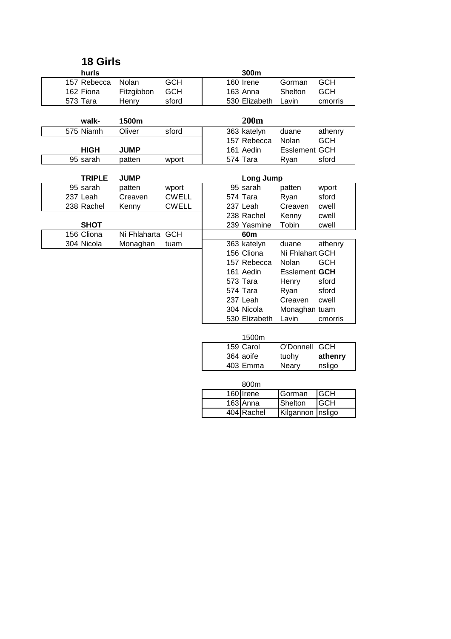| 300m<br>hurls<br>157 Rebecca<br>Nolan<br><b>GCH</b><br>160 Irene<br><b>GCH</b><br>Gorman<br><b>GCH</b><br>163 Anna<br>Shelton<br><b>GCH</b><br>162 Fiona<br>Fitzgibbon<br>530 Elizabeth<br>573 Tara<br>sford<br>Lavin<br>cmorris<br>Henry<br>200m<br>walk-<br>1500m<br>575 Niamh<br>Oliver<br>sford<br>363 katelyn<br>duane<br>athenry<br>157 Rebecca<br>Nolan<br><b>GCH</b><br>161 Aedin<br><b>Esslement GCH</b><br><b>HIGH</b><br><b>JUMP</b><br>574 Tara<br>95 sarah<br>sford<br>patten<br>wport<br>Ryan<br><b>TRIPLE</b><br><b>JUMP</b><br>Long Jump<br>95 sarah<br>95 sarah |  |
|----------------------------------------------------------------------------------------------------------------------------------------------------------------------------------------------------------------------------------------------------------------------------------------------------------------------------------------------------------------------------------------------------------------------------------------------------------------------------------------------------------------------------------------------------------------------------------|--|
|                                                                                                                                                                                                                                                                                                                                                                                                                                                                                                                                                                                  |  |
|                                                                                                                                                                                                                                                                                                                                                                                                                                                                                                                                                                                  |  |
|                                                                                                                                                                                                                                                                                                                                                                                                                                                                                                                                                                                  |  |
|                                                                                                                                                                                                                                                                                                                                                                                                                                                                                                                                                                                  |  |
|                                                                                                                                                                                                                                                                                                                                                                                                                                                                                                                                                                                  |  |
|                                                                                                                                                                                                                                                                                                                                                                                                                                                                                                                                                                                  |  |
|                                                                                                                                                                                                                                                                                                                                                                                                                                                                                                                                                                                  |  |
|                                                                                                                                                                                                                                                                                                                                                                                                                                                                                                                                                                                  |  |
|                                                                                                                                                                                                                                                                                                                                                                                                                                                                                                                                                                                  |  |
|                                                                                                                                                                                                                                                                                                                                                                                                                                                                                                                                                                                  |  |
|                                                                                                                                                                                                                                                                                                                                                                                                                                                                                                                                                                                  |  |
|                                                                                                                                                                                                                                                                                                                                                                                                                                                                                                                                                                                  |  |
| patten<br>patten<br>wport<br>wport                                                                                                                                                                                                                                                                                                                                                                                                                                                                                                                                               |  |
| 237 Leah<br><b>CWELL</b><br>574 Tara<br>sford<br>Creaven<br>Ryan                                                                                                                                                                                                                                                                                                                                                                                                                                                                                                                 |  |
| <b>CWELL</b><br>237 Leah<br>238 Rachel<br>Kenny<br>Creaven<br>cwell                                                                                                                                                                                                                                                                                                                                                                                                                                                                                                              |  |
| 238 Rachel<br>Kenny<br>cwell                                                                                                                                                                                                                                                                                                                                                                                                                                                                                                                                                     |  |
| <b>SHOT</b><br>239 Yasmine<br>Tobin<br>cwell                                                                                                                                                                                                                                                                                                                                                                                                                                                                                                                                     |  |
| 156 Cliona<br>Ni Fhlaharta<br><b>GCH</b><br>60m                                                                                                                                                                                                                                                                                                                                                                                                                                                                                                                                  |  |
| 304 Nicola<br>363 katelyn<br>Monaghan<br>duane<br>athenry<br>tuam                                                                                                                                                                                                                                                                                                                                                                                                                                                                                                                |  |
| 156 Cliona<br>Ni Fhlahart GCH                                                                                                                                                                                                                                                                                                                                                                                                                                                                                                                                                    |  |
| 157 Rebecca<br>Nolan<br><b>GCH</b>                                                                                                                                                                                                                                                                                                                                                                                                                                                                                                                                               |  |
| <b>Esslement GCH</b><br>161 Aedin                                                                                                                                                                                                                                                                                                                                                                                                                                                                                                                                                |  |
| 573 Tara<br>sford<br>Henry                                                                                                                                                                                                                                                                                                                                                                                                                                                                                                                                                       |  |
| 574 Tara<br>sford<br>Ryan                                                                                                                                                                                                                                                                                                                                                                                                                                                                                                                                                        |  |
| 237 Leah<br>Creaven<br>cwell                                                                                                                                                                                                                                                                                                                                                                                                                                                                                                                                                     |  |
| 304 Nicola<br>Monaghan tuam                                                                                                                                                                                                                                                                                                                                                                                                                                                                                                                                                      |  |
| 530 Elizabeth<br>Lavin<br>cmorris                                                                                                                                                                                                                                                                                                                                                                                                                                                                                                                                                |  |
| 1500m                                                                                                                                                                                                                                                                                                                                                                                                                                                                                                                                                                            |  |
| 159 Carol<br><b>GCH</b><br>O'Donnell                                                                                                                                                                                                                                                                                                                                                                                                                                                                                                                                             |  |
| 364 aoife<br>tuohy<br>athenry                                                                                                                                                                                                                                                                                                                                                                                                                                                                                                                                                    |  |
|                                                                                                                                                                                                                                                                                                                                                                                                                                                                                                                                                                                  |  |
|                                                                                                                                                                                                                                                                                                                                                                                                                                                                                                                                                                                  |  |
| 403 Emma<br>nsligo<br>Neary                                                                                                                                                                                                                                                                                                                                                                                                                                                                                                                                                      |  |
|                                                                                                                                                                                                                                                                                                                                                                                                                                                                                                                                                                                  |  |
| 800m<br>160 Irene<br><b>GCH</b><br>Gorman                                                                                                                                                                                                                                                                                                                                                                                                                                                                                                                                        |  |
| <b>GCH</b><br>$\overline{163}$ Anna<br>Shelton                                                                                                                                                                                                                                                                                                                                                                                                                                                                                                                                   |  |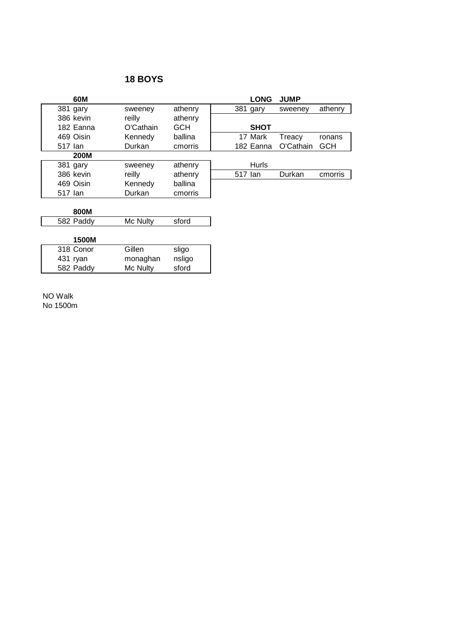| 60M         |           |            | <b>LONG</b>  | <b>JUMP</b> |            |
|-------------|-----------|------------|--------------|-------------|------------|
| 381 gary    | sweeney   | athenry    | 381 gary     | sweeney     | athenry    |
| 386 kevin   | reilly    | athenry    |              |             |            |
| 182 Eanna   | O'Cathain | <b>GCH</b> | <b>SHOT</b>  |             |            |
| 469 Oisin   | Kennedy   | ballina    | 17 Mark      | Treacy      | ronans     |
| 517 lan     | Durkan    | cmorris    | 182 Eanna    | O'Cathain   | <b>GCH</b> |
| <b>200M</b> |           |            |              |             |            |
| 381 gary    | sweeney   | athenry    | <b>Hurls</b> |             |            |
| 386 kevin   | reilly    | athenry    | 517 lan      | Durkan      | cmorris    |
| 469 Oisin   | Kennedy   | ballina    |              |             |            |
| 517 lan     | Durkan    | cmorris    |              |             |            |
|             |           |            |              |             |            |
| 800M        |           |            |              |             |            |
| 582 Paddy   | Mc Nulty  | sford      |              |             |            |
|             |           |            |              |             |            |
| 1500M       |           |            |              |             |            |
| 318 Conor   | Gillen    | sligo      |              |             |            |
| 431 ryan    | monaghan  | nsligo     |              |             |            |
| 582 Paddy   | Mc Nulty  | sford      |              |             |            |

NO Walk No 1500m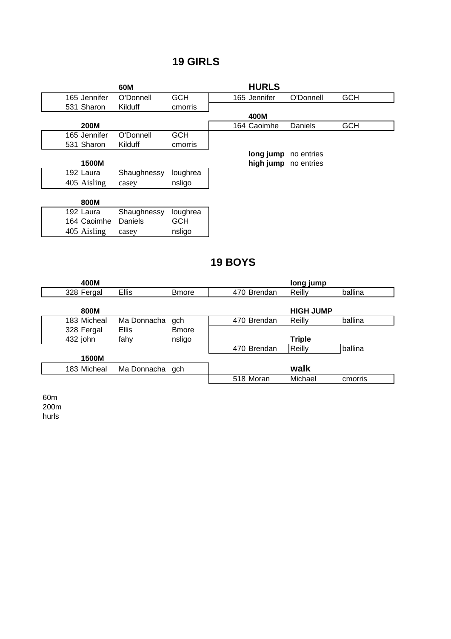## **19 GIRLS**

|              | 60M         |            | <b>HURLS</b> |            |            |
|--------------|-------------|------------|--------------|------------|------------|
| 165 Jennifer | O'Donnell   | <b>GCH</b> | 165 Jennifer | O'Donnell  | <b>GCH</b> |
| 531 Sharon   | Kilduff     | cmorris    |              |            |            |
|              |             |            | 400M         |            |            |
| <b>200M</b>  |             |            | 164 Caoimhe  | Daniels    | <b>GCH</b> |
| 165 Jennifer | O'Donnell   | <b>GCH</b> |              |            |            |
| 531 Sharon   | Kilduff     | cmorris    |              |            |            |
|              |             |            | long jump    | no entries |            |
| 1500M        |             |            | high jump    | no entries |            |
| 192 Laura    | Shaughnessy | loughrea   |              |            |            |
| 405 Aisling  | casey       | nsligo     |              |            |            |
|              |             |            |              |            |            |
| 800M         |             |            |              |            |            |
| 192 Laura    | Shaughnessy | loughrea   |              |            |            |
| 164 Caoimhe  | Daniels     | <b>GCH</b> |              |            |            |
| 405 Aisling  | casey       | nsligo     |              |            |            |

**19 BOYS**

| 400M        |                 |               |             | long jump        |         |
|-------------|-----------------|---------------|-------------|------------------|---------|
| 328 Fergal  | <b>Ellis</b>    | <b>B</b> more | 470 Brendan | Reilly           | ballina |
|             |                 |               |             |                  |         |
| 800M        |                 |               |             | <b>HIGH JUMP</b> |         |
| 183 Micheal | Ma Donnacha     | gch           | 470 Brendan | Reilly           | ballina |
| 328 Fergal  | <b>Ellis</b>    | <b>B</b> more |             |                  |         |
| 432 john    | fahy            | nsligo        |             | <b>Triple</b>    |         |
|             |                 |               | 470 Brendan | Reilly           | ballina |
| 1500M       |                 |               |             |                  |         |
| 183 Micheal | Ma Donnacha gch |               |             | walk             |         |
|             |                 |               | 518 Moran   | Michael          | cmorris |
|             |                 |               |             |                  |         |

60m 200m hurls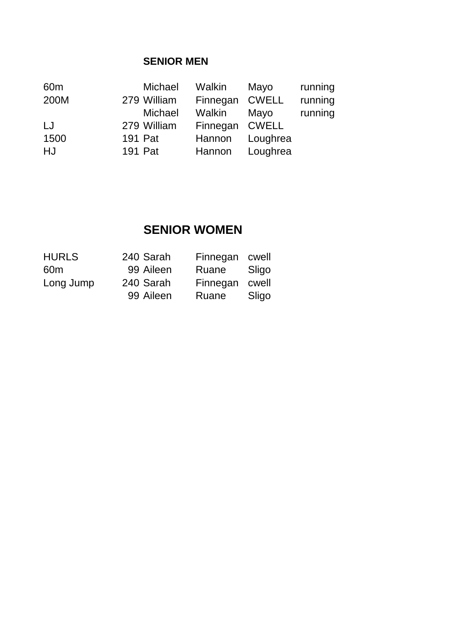### **SENIOR MEN**

| 60 <sub>m</sub> |         | Michael     | Walkin   | Mayo         | running |
|-----------------|---------|-------------|----------|--------------|---------|
| 200M            |         | 279 William | Finnegan | <b>CWELL</b> | running |
|                 |         | Michael     | Walkin   | Mayo         | running |
| LJ              |         | 279 William | Finnegan | CWELL        |         |
| 1500            | 191 Pat |             | Hannon   | Loughrea     |         |
| HJ              | 191 Pat |             | Hannon   | Loughrea     |         |

## **SENIOR WOMEN**

| <b>HURLS</b>    | 240 Sarah | Finnegan cwell |       |
|-----------------|-----------|----------------|-------|
| 60 <sub>m</sub> | 99 Aileen | Ruane          | Sligo |
| Long Jump       | 240 Sarah | Finnegan cwell |       |
|                 | 99 Aileen | Ruane          | Sligo |